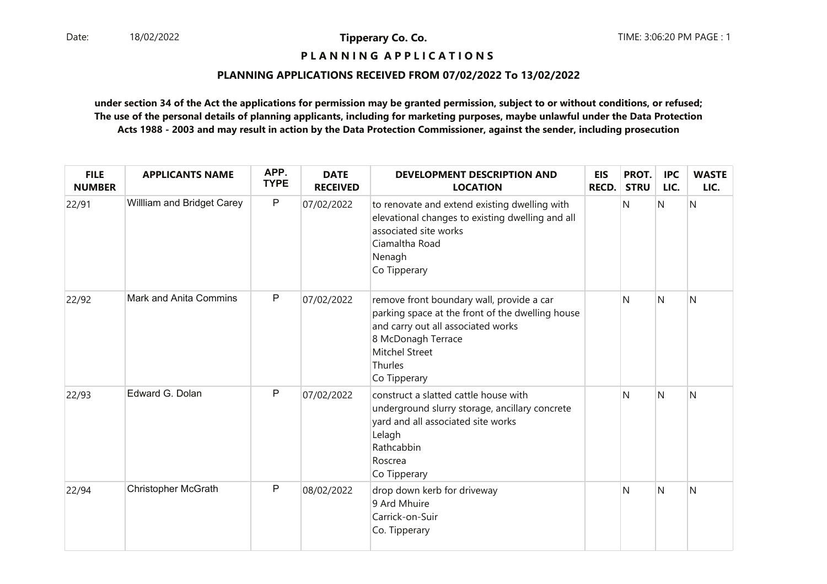# **P L A N N I N G A P P L I C A T I O N S**

#### **PLANNING APPLICATIONS RECEIVED FROM 07/02/2022 To 13/02/2022**

| <b>FILE</b><br><b>NUMBER</b> | <b>APPLICANTS NAME</b>     | APP.<br><b>TYPE</b> | <b>DATE</b><br><b>RECEIVED</b> | <b>DEVELOPMENT DESCRIPTION AND</b><br><b>LOCATION</b>                                                                                                                                                         | <b>EIS</b><br><b>RECD.</b> | PROT.<br><b>STRU</b> | <b>IPC</b><br>LIC. | <b>WASTE</b><br>LIC. |
|------------------------------|----------------------------|---------------------|--------------------------------|---------------------------------------------------------------------------------------------------------------------------------------------------------------------------------------------------------------|----------------------------|----------------------|--------------------|----------------------|
| 22/91                        | Willliam and Bridget Carey | $\mathsf{P}$        | 07/02/2022                     | to renovate and extend existing dwelling with<br>elevational changes to existing dwelling and all<br>associated site works<br>Ciamaltha Road<br>Nenagh<br>Co Tipperary                                        |                            | N                    | N                  | N                    |
| 22/92                        | Mark and Anita Commins     | $\mathsf P$         | 07/02/2022                     | remove front boundary wall, provide a car<br>parking space at the front of the dwelling house<br>and carry out all associated works<br>8 McDonagh Terrace<br><b>Mitchel Street</b><br>Thurles<br>Co Tipperary |                            | N                    | N                  | $\mathsf{N}$         |
| 22/93                        | Edward G. Dolan            | P                   | 07/02/2022                     | construct a slatted cattle house with<br>underground slurry storage, ancillary concrete<br>yard and all associated site works<br>Lelagh<br>Rathcabbin<br>Roscrea<br>Co Tipperary                              |                            | N                    | N                  | N                    |
| 22/94                        | <b>Christopher McGrath</b> | ${\sf P}$           | 08/02/2022                     | drop down kerb for driveway<br>9 Ard Mhuire<br>Carrick-on-Suir<br>Co. Tipperary                                                                                                                               |                            | N                    | N                  | N                    |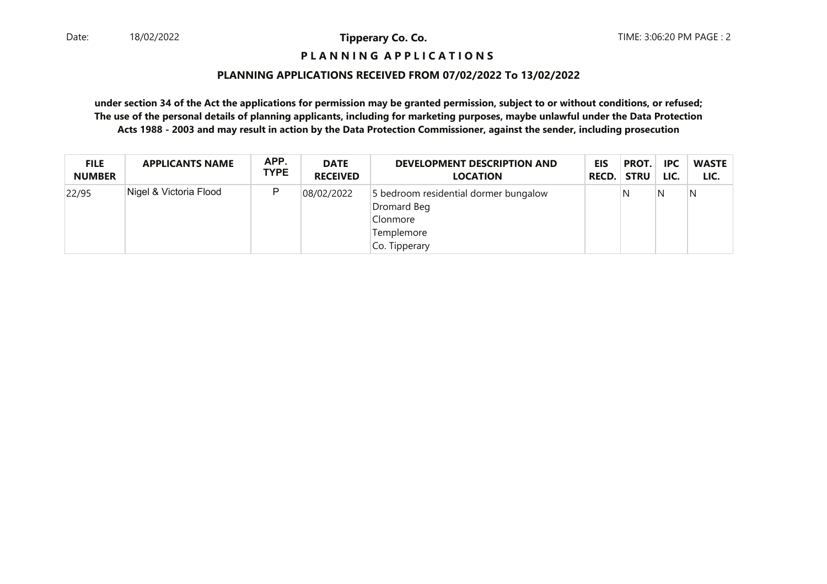# **P L A N N I N G A P P L I C A T I O N S**

#### **PLANNING APPLICATIONS RECEIVED FROM 07/02/2022 To 13/02/2022**

| <b>FILE</b>   | <b>APPLICANTS NAME</b> | APP.        | <b>DATE</b>     | DEVELOPMENT DESCRIPTION AND                                                                     | EIS   | PROT.       | <b>IPC</b> | <b>WASTE</b> |
|---------------|------------------------|-------------|-----------------|-------------------------------------------------------------------------------------------------|-------|-------------|------------|--------------|
| <b>NUMBER</b> |                        | <b>TYPE</b> | <b>RECEIVED</b> | <b>LOCATION</b>                                                                                 | RECD. | <b>STRU</b> | LIC.       | LIC.         |
| 22/95         | Nigel & Victoria Flood | P           | 08/02/2022      | 5 bedroom residential dormer bungalow<br>Dromard Beg<br>Clonmore<br>Templemore<br>Co. Tipperary |       | N           | N          | N            |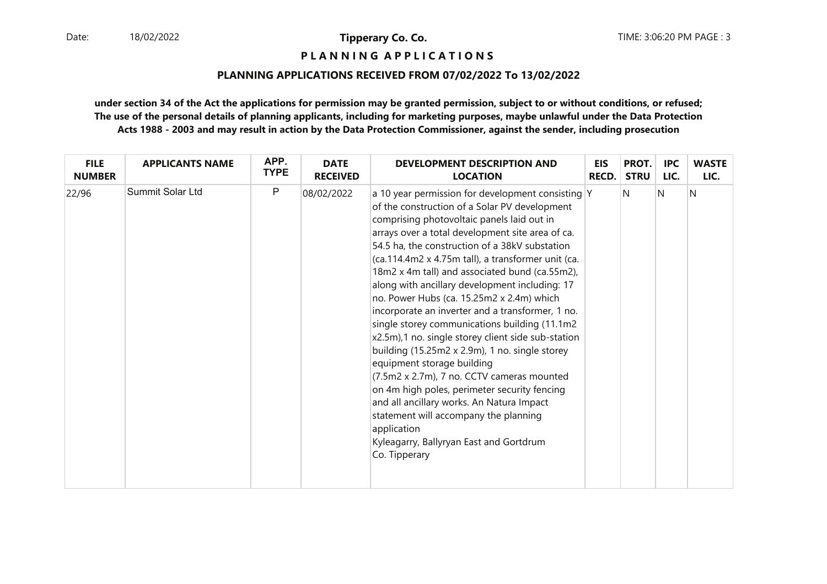**P L A N N I N G A P P L I C A T I O N S** 

#### **PLANNING APPLICATIONS RECEIVED FROM 07/02/2022 To 13/02/2022**

| <b>FILE</b>   | <b>APPLICANTS NAME</b>  | APP.        | <b>DATE</b>     | DEVELOPMENT DESCRIPTION AND                                                                                                                                                                                                                                                                                                                                                                                                                                                                                                                                                                                                                                                                                                                                                                                                                                                                                                                                             | <b>EIS</b>   | PROT.       | <b>IPC</b> | <b>WASTE</b> |
|---------------|-------------------------|-------------|-----------------|-------------------------------------------------------------------------------------------------------------------------------------------------------------------------------------------------------------------------------------------------------------------------------------------------------------------------------------------------------------------------------------------------------------------------------------------------------------------------------------------------------------------------------------------------------------------------------------------------------------------------------------------------------------------------------------------------------------------------------------------------------------------------------------------------------------------------------------------------------------------------------------------------------------------------------------------------------------------------|--------------|-------------|------------|--------------|
| <b>NUMBER</b> |                         | <b>TYPE</b> | <b>RECEIVED</b> | <b>LOCATION</b>                                                                                                                                                                                                                                                                                                                                                                                                                                                                                                                                                                                                                                                                                                                                                                                                                                                                                                                                                         | <b>RECD.</b> | <b>STRU</b> | LIC.       | LIC.         |
| 22/96         | <b>Summit Solar Ltd</b> | P           | 08/02/2022      | a 10 year permission for development consisting Y<br>of the construction of a Solar PV development<br>comprising photovoltaic panels laid out in<br>arrays over a total development site area of ca.<br>54.5 ha, the construction of a 38kV substation<br>(ca.114.4m2 x 4.75m tall), a transformer unit (ca.<br>18m2 x 4m tall) and associated bund (ca.55m2),<br>along with ancillary development including: 17<br>no. Power Hubs (ca. 15.25m2 x 2.4m) which<br>incorporate an inverter and a transformer, 1 no.<br>single storey communications building (11.1m2<br>x2.5m),1 no. single storey client side sub-station<br>building (15.25m2 x 2.9m), 1 no. single storey<br>equipment storage building<br>(7.5m2 x 2.7m), 7 no. CCTV cameras mounted<br>on 4m high poles, perimeter security fencing<br>and all ancillary works. An Natura Impact<br>statement will accompany the planning<br>application<br>Kyleagarry, Ballyryan East and Gortdrum<br>Co. Tipperary |              | N           | N          | N            |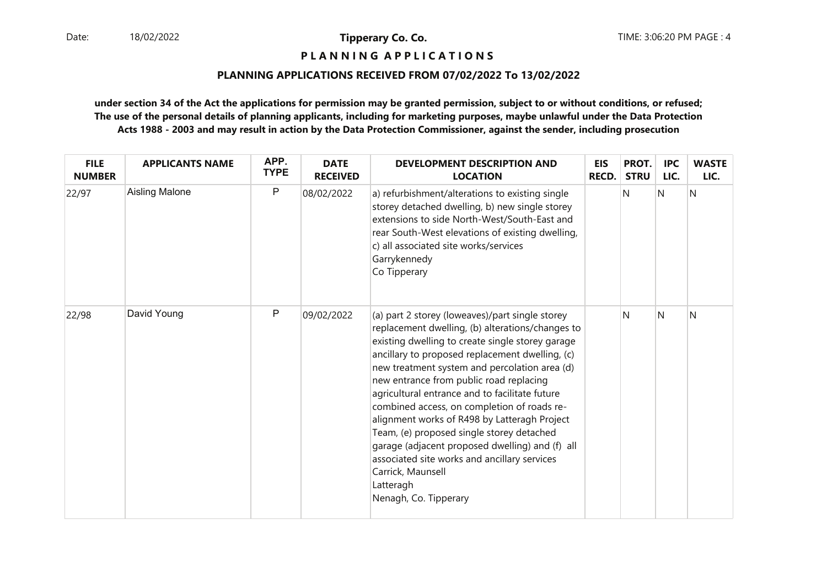**P L A N N I N G A P P L I C A T I O N S** 

#### **PLANNING APPLICATIONS RECEIVED FROM 07/02/2022 To 13/02/2022**

| <b>FILE</b><br><b>NUMBER</b> | <b>APPLICANTS NAME</b> | APP.<br><b>TYPE</b> | <b>DATE</b><br><b>RECEIVED</b> | <b>DEVELOPMENT DESCRIPTION AND</b><br><b>LOCATION</b>                                                                                                                                                                                                                                                                                                                                                                                                                                                                                                                                                                                                              | <b>EIS</b><br><b>RECD.</b> | PROT.<br><b>STRU</b> | <b>IPC</b><br>LIC. | <b>WASTE</b><br>LIC. |
|------------------------------|------------------------|---------------------|--------------------------------|--------------------------------------------------------------------------------------------------------------------------------------------------------------------------------------------------------------------------------------------------------------------------------------------------------------------------------------------------------------------------------------------------------------------------------------------------------------------------------------------------------------------------------------------------------------------------------------------------------------------------------------------------------------------|----------------------------|----------------------|--------------------|----------------------|
| 22/97                        | <b>Aisling Malone</b>  | P                   | 08/02/2022                     | a) refurbishment/alterations to existing single<br>storey detached dwelling, b) new single storey<br>extensions to side North-West/South-East and<br>rear South-West elevations of existing dwelling,<br>c) all associated site works/services<br>Garrykennedy<br>Co Tipperary                                                                                                                                                                                                                                                                                                                                                                                     |                            | N                    | N                  | N                    |
| 22/98                        | David Young            | P                   | 09/02/2022                     | (a) part 2 storey (loweaves)/part single storey<br>replacement dwelling, (b) alterations/changes to<br>existing dwelling to create single storey garage<br>ancillary to proposed replacement dwelling, (c)<br>new treatment system and percolation area (d)<br>new entrance from public road replacing<br>agricultural entrance and to facilitate future<br>combined access, on completion of roads re-<br>alignment works of R498 by Latteragh Project<br>Team, (e) proposed single storey detached<br>garage (adjacent proposed dwelling) and (f) all<br>associated site works and ancillary services<br>Carrick, Maunsell<br>Latteragh<br>Nenagh, Co. Tipperary |                            | N                    | N                  | N                    |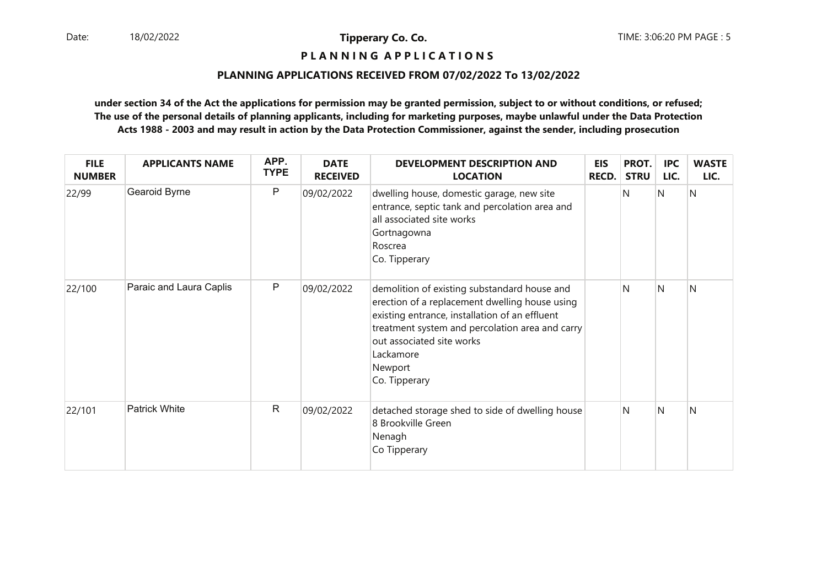**P L A N N I N G A P P L I C A T I O N S** 

#### **PLANNING APPLICATIONS RECEIVED FROM 07/02/2022 To 13/02/2022**

| <b>FILE</b><br><b>NUMBER</b> | <b>APPLICANTS NAME</b>  | APP.<br><b>TYPE</b> | <b>DATE</b><br><b>RECEIVED</b> | <b>DEVELOPMENT DESCRIPTION AND</b><br><b>LOCATION</b>                                                                                                                                                                                                                     | <b>EIS</b><br><b>RECD.</b> | PROT.<br><b>STRU</b> | <b>IPC</b><br>LIC. | <b>WASTE</b><br>LIC. |
|------------------------------|-------------------------|---------------------|--------------------------------|---------------------------------------------------------------------------------------------------------------------------------------------------------------------------------------------------------------------------------------------------------------------------|----------------------------|----------------------|--------------------|----------------------|
| 22/99                        | Gearoid Byrne           | P                   | 09/02/2022                     | dwelling house, domestic garage, new site<br>entrance, septic tank and percolation area and<br>all associated site works<br>Gortnagowna<br>Roscrea<br>Co. Tipperary                                                                                                       |                            | N                    | N                  | N                    |
| 22/100                       | Paraic and Laura Caplis | P                   | 09/02/2022                     | demolition of existing substandard house and<br>erection of a replacement dwelling house using<br>existing entrance, installation of an effluent<br>treatment system and percolation area and carry<br>out associated site works<br>Lackamore<br>Newport<br>Co. Tipperary |                            | N                    | N                  | Ν                    |
| 22/101                       | <b>Patrick White</b>    | $\mathsf{R}$        | 09/02/2022                     | detached storage shed to side of dwelling house<br>8 Brookville Green<br>Nenagh<br>Co Tipperary                                                                                                                                                                           |                            | N                    | N                  | N                    |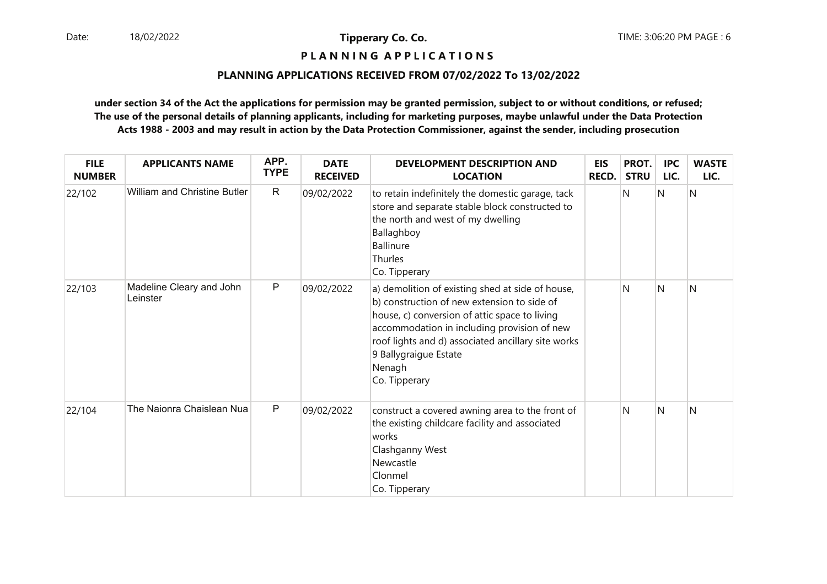**P L A N N I N G A P P L I C A T I O N S** 

#### **PLANNING APPLICATIONS RECEIVED FROM 07/02/2022 To 13/02/2022**

| <b>FILE</b><br><b>NUMBER</b> | <b>APPLICANTS NAME</b>               | APP.<br><b>TYPE</b> | <b>DATE</b><br><b>RECEIVED</b> | DEVELOPMENT DESCRIPTION AND<br><b>LOCATION</b>                                                                                                                                                                                                                                                            | <b>EIS</b><br><b>RECD.</b> | PROT.<br><b>STRU</b> | <b>IPC</b><br>LIC. | <b>WASTE</b><br>LIC. |
|------------------------------|--------------------------------------|---------------------|--------------------------------|-----------------------------------------------------------------------------------------------------------------------------------------------------------------------------------------------------------------------------------------------------------------------------------------------------------|----------------------------|----------------------|--------------------|----------------------|
| 22/102                       | <b>William and Christine Butler</b>  | $\mathsf{R}$        | 09/02/2022                     | to retain indefinitely the domestic garage, tack<br>store and separate stable block constructed to<br>the north and west of my dwelling<br>Ballaghboy<br><b>Ballinure</b><br>Thurles<br>Co. Tipperary                                                                                                     |                            | N                    | N                  | Ν                    |
| 22/103                       | Madeline Cleary and John<br>Leinster | $\mathsf P$         | 09/02/2022                     | a) demolition of existing shed at side of house,<br>b) construction of new extension to side of<br>house, c) conversion of attic space to living<br>accommodation in including provision of new<br>roof lights and d) associated ancillary site works<br>9 Ballygraigue Estate<br>Nenagh<br>Co. Tipperary |                            | N                    | N                  | N                    |
| 22/104                       | The Naionra Chaislean Nua            | P                   | 09/02/2022                     | construct a covered awning area to the front of<br>the existing childcare facility and associated<br>works<br>Clashganny West<br>Newcastle<br>Clonmel<br>Co. Tipperary                                                                                                                                    |                            | N                    | N                  | Ν                    |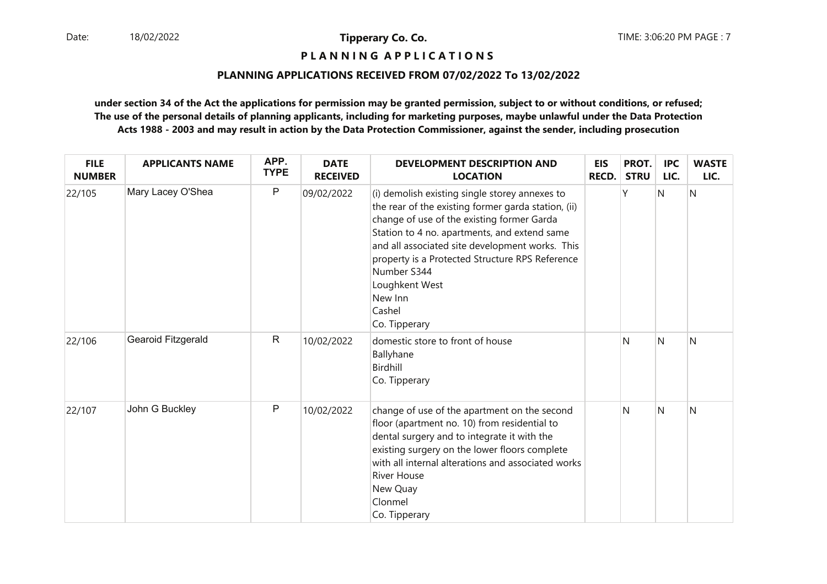**P L A N N I N G A P P L I C A T I O N S** 

#### **PLANNING APPLICATIONS RECEIVED FROM 07/02/2022 To 13/02/2022**

| <b>FILE</b><br><b>NUMBER</b> | <b>APPLICANTS NAME</b> | APP.<br><b>TYPE</b> | <b>DATE</b><br><b>RECEIVED</b> | <b>DEVELOPMENT DESCRIPTION AND</b><br><b>LOCATION</b>                                                                                                                                                                                                                                                                                                                            | <b>EIS</b><br><b>RECD.</b> | PROT.<br><b>STRU</b> | <b>IPC</b><br>LIC. | <b>WASTE</b><br>LIC. |
|------------------------------|------------------------|---------------------|--------------------------------|----------------------------------------------------------------------------------------------------------------------------------------------------------------------------------------------------------------------------------------------------------------------------------------------------------------------------------------------------------------------------------|----------------------------|----------------------|--------------------|----------------------|
| 22/105                       | Mary Lacey O'Shea      | $\mathsf{P}$        | 09/02/2022                     | (i) demolish existing single storey annexes to<br>the rear of the existing former garda station, (ii)<br>change of use of the existing former Garda<br>Station to 4 no. apartments, and extend same<br>and all associated site development works. This<br>property is a Protected Structure RPS Reference<br>Number S344<br>Loughkent West<br>New Inn<br>Cashel<br>Co. Tipperary |                            | γ                    | $\mathsf{N}$       | N                    |
| 22/106                       | Gearoid Fitzgerald     | $\mathsf{R}$        | 10/02/2022                     | domestic store to front of house<br>Ballyhane<br>Birdhill<br>Co. Tipperary                                                                                                                                                                                                                                                                                                       |                            | N                    | N                  | N                    |
| 22/107                       | John G Buckley         | $\mathsf{P}$        | 10/02/2022                     | change of use of the apartment on the second<br>floor (apartment no. 10) from residential to<br>dental surgery and to integrate it with the<br>existing surgery on the lower floors complete<br>with all internal alterations and associated works<br><b>River House</b><br>New Quay<br>Clonmel<br>Co. Tipperary                                                                 |                            | N                    | N                  | N                    |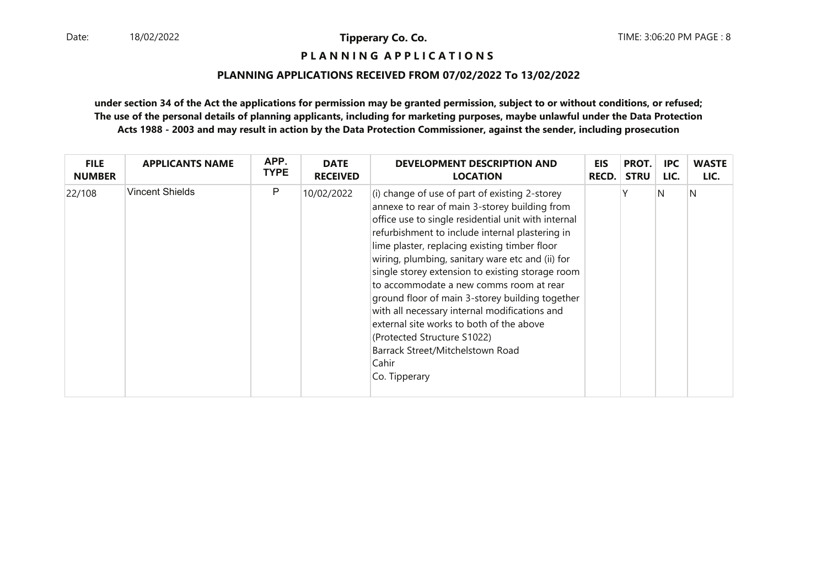**P L A N N I N G A P P L I C A T I O N S** 

#### **PLANNING APPLICATIONS RECEIVED FROM 07/02/2022 To 13/02/2022**

| <b>FILE</b>   | <b>APPLICANTS NAME</b> | APP.        | <b>DATE</b>     | <b>DEVELOPMENT DESCRIPTION AND</b>                                                                                                                                                                                                                                                                                                                                                                                                                                                                                                                                                                                                                           | EIS          | PROT.       | <b>IPC</b> | <b>WASTE</b> |
|---------------|------------------------|-------------|-----------------|--------------------------------------------------------------------------------------------------------------------------------------------------------------------------------------------------------------------------------------------------------------------------------------------------------------------------------------------------------------------------------------------------------------------------------------------------------------------------------------------------------------------------------------------------------------------------------------------------------------------------------------------------------------|--------------|-------------|------------|--------------|
| <b>NUMBER</b> |                        | <b>TYPE</b> | <b>RECEIVED</b> | <b>LOCATION</b>                                                                                                                                                                                                                                                                                                                                                                                                                                                                                                                                                                                                                                              | <b>RECD.</b> | <b>STRU</b> | LIC.       | LIC.         |
| 22/108        | <b>Vincent Shields</b> | P           | 10/02/2022      | $(i)$ change of use of part of existing 2-storey<br>annexe to rear of main 3-storey building from<br>office use to single residential unit with internal<br>refurbishment to include internal plastering in<br>lime plaster, replacing existing timber floor<br>wiring, plumbing, sanitary ware etc and (ii) for<br>single storey extension to existing storage room<br>to accommodate a new comms room at rear<br>ground floor of main 3-storey building together<br>with all necessary internal modifications and<br>external site works to both of the above<br>(Protected Structure S1022)<br>Barrack Street/Mitchelstown Road<br>Cahir<br>Co. Tipperary |              |             | N          | N            |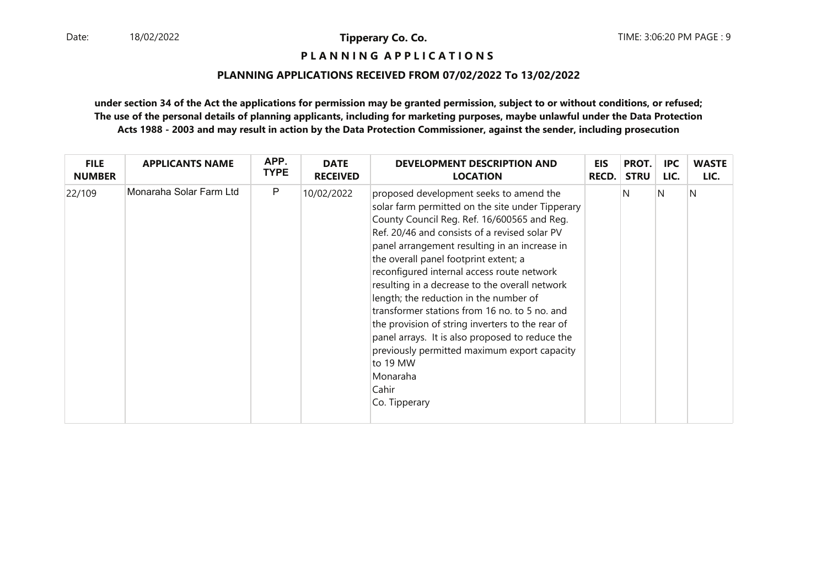**P L A N N I N G A P P L I C A T I O N S** 

#### **PLANNING APPLICATIONS RECEIVED FROM 07/02/2022 To 13/02/2022**

| <b>FILE</b>   | <b>APPLICANTS NAME</b>  | APP.        | <b>DATE</b>     | <b>DEVELOPMENT DESCRIPTION AND</b>                                                                                                                                                                                                                                                                                                                                                                                                                                                                                                                                                                                                                                                        | <b>EIS</b> | PROT.       | <b>IPC</b> | <b>WASTE</b> |
|---------------|-------------------------|-------------|-----------------|-------------------------------------------------------------------------------------------------------------------------------------------------------------------------------------------------------------------------------------------------------------------------------------------------------------------------------------------------------------------------------------------------------------------------------------------------------------------------------------------------------------------------------------------------------------------------------------------------------------------------------------------------------------------------------------------|------------|-------------|------------|--------------|
| <b>NUMBER</b> |                         | <b>TYPE</b> | <b>RECEIVED</b> | <b>LOCATION</b>                                                                                                                                                                                                                                                                                                                                                                                                                                                                                                                                                                                                                                                                           | RECD.      | <b>STRU</b> | LIC.       | LIC.         |
| 22/109        | Monaraha Solar Farm Ltd | P           | 10/02/2022      | proposed development seeks to amend the<br>solar farm permitted on the site under Tipperary<br>County Council Reg. Ref. 16/600565 and Reg.<br>Ref. 20/46 and consists of a revised solar PV<br>panel arrangement resulting in an increase in<br>the overall panel footprint extent; a<br>reconfigured internal access route network<br>resulting in a decrease to the overall network<br>length; the reduction in the number of<br>transformer stations from 16 no. to 5 no. and<br>the provision of string inverters to the rear of<br>panel arrays. It is also proposed to reduce the<br>previously permitted maximum export capacity<br>to 19 MW<br>Monaraha<br>Cahir<br>Co. Tipperary |            | N           | N          | N            |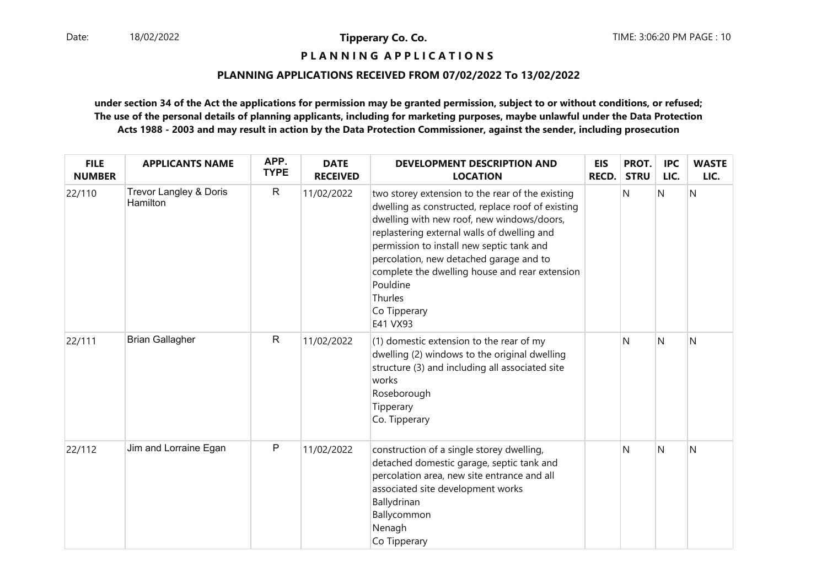**P L A N N I N G A P P L I C A T I O N S** 

#### **PLANNING APPLICATIONS RECEIVED FROM 07/02/2022 To 13/02/2022**

| <b>FILE</b><br><b>NUMBER</b> | <b>APPLICANTS NAME</b>             | APP.<br><b>TYPE</b> | <b>DATE</b><br><b>RECEIVED</b> | <b>DEVELOPMENT DESCRIPTION AND</b><br><b>LOCATION</b>                                                                                                                                                                                                                                                                                                                                           | EIS<br>RECD. | PROT.<br><b>STRU</b> | <b>IPC</b><br>LIC. | <b>WASTE</b><br>LIC. |
|------------------------------|------------------------------------|---------------------|--------------------------------|-------------------------------------------------------------------------------------------------------------------------------------------------------------------------------------------------------------------------------------------------------------------------------------------------------------------------------------------------------------------------------------------------|--------------|----------------------|--------------------|----------------------|
| 22/110                       | Trevor Langley & Doris<br>Hamilton | $\mathsf{R}$        | 11/02/2022                     | two storey extension to the rear of the existing<br>dwelling as constructed, replace roof of existing<br>dwelling with new roof, new windows/doors,<br>replastering external walls of dwelling and<br>permission to install new septic tank and<br>percolation, new detached garage and to<br>complete the dwelling house and rear extension<br>Pouldine<br>Thurles<br>Co Tipperary<br>E41 VX93 |              | N                    | N                  | N                    |
| 22/111                       | <b>Brian Gallagher</b>             | $\mathsf{R}$        | 11/02/2022                     | (1) domestic extension to the rear of my<br>dwelling (2) windows to the original dwelling<br>structure (3) and including all associated site<br>works<br>Roseborough<br>Tipperary<br>Co. Tipperary                                                                                                                                                                                              |              | N                    | N                  | N                    |
| 22/112                       | Jim and Lorraine Egan              | $\mathsf{P}$        | 11/02/2022                     | construction of a single storey dwelling,<br>detached domestic garage, septic tank and<br>percolation area, new site entrance and all<br>associated site development works<br>Ballydrinan<br>Ballycommon<br>Nenagh<br>Co Tipperary                                                                                                                                                              |              | N                    | $\mathsf{N}$       | N                    |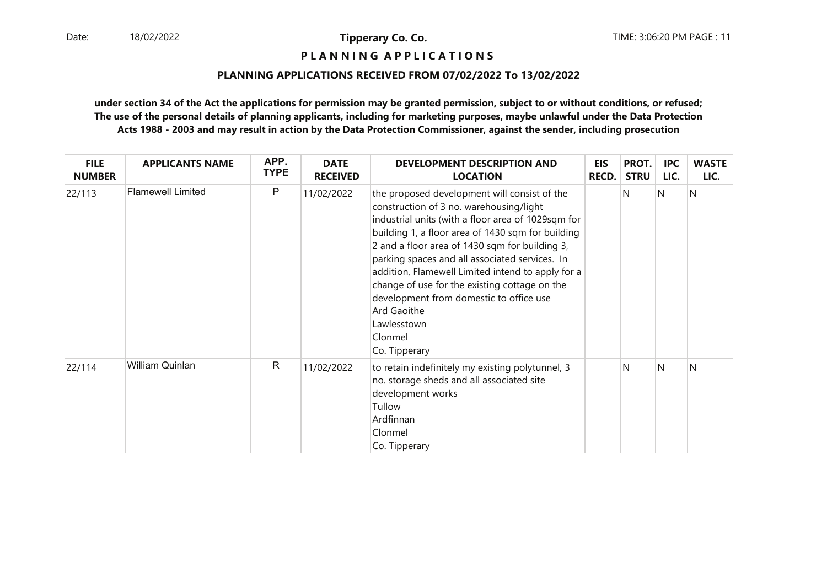# **P L A N N I N G A P P L I C A T I O N S**

#### **PLANNING APPLICATIONS RECEIVED FROM 07/02/2022 To 13/02/2022**

| <b>FILE</b><br><b>NUMBER</b> | <b>APPLICANTS NAME</b>   | APP.<br><b>TYPE</b> | <b>DATE</b><br><b>RECEIVED</b> | <b>DEVELOPMENT DESCRIPTION AND</b><br><b>LOCATION</b>                                                                                                                                                                                                                                                                                                                                                                                                                                                             | <b>EIS</b><br><b>RECD.</b> | PROT.<br><b>STRU</b> | <b>IPC</b><br>LIC. | <b>WASTE</b><br>LIC. |
|------------------------------|--------------------------|---------------------|--------------------------------|-------------------------------------------------------------------------------------------------------------------------------------------------------------------------------------------------------------------------------------------------------------------------------------------------------------------------------------------------------------------------------------------------------------------------------------------------------------------------------------------------------------------|----------------------------|----------------------|--------------------|----------------------|
| 22/113                       | <b>Flamewell Limited</b> | P                   | 11/02/2022                     | the proposed development will consist of the<br>construction of 3 no. warehousing/light<br>industrial units (with a floor area of 1029sqm for<br>building 1, a floor area of 1430 sqm for building<br>2 and a floor area of 1430 sqm for building 3,<br>parking spaces and all associated services. In<br>addition, Flamewell Limited intend to apply for a<br>change of use for the existing cottage on the<br>development from domestic to office use<br>Ard Gaoithe<br>Lawlesstown<br>Clonmel<br>Co. Tipperary |                            | N                    | IN.                | N                    |
| 22/114                       | William Quinlan          | $\mathsf{R}$        | 11/02/2022                     | to retain indefinitely my existing polytunnel, 3<br>no. storage sheds and all associated site<br>development works<br>Tullow<br>Ardfinnan<br>Clonmel<br>Co. Tipperary                                                                                                                                                                                                                                                                                                                                             |                            | N                    | N                  | N                    |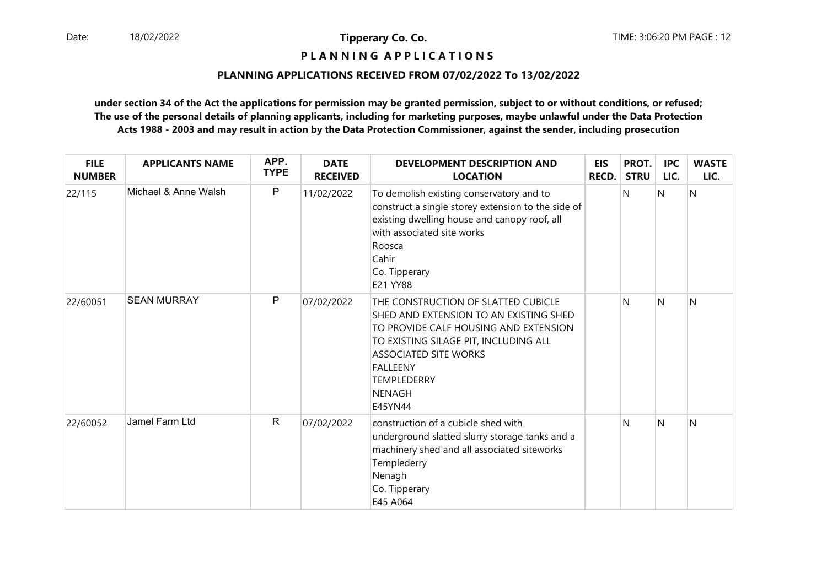# **P L A N N I N G A P P L I C A T I O N S**

#### **PLANNING APPLICATIONS RECEIVED FROM 07/02/2022 To 13/02/2022**

| <b>FILE</b><br><b>NUMBER</b> | <b>APPLICANTS NAME</b> | APP.<br><b>TYPE</b> | <b>DATE</b><br><b>RECEIVED</b> | <b>DEVELOPMENT DESCRIPTION AND</b><br><b>LOCATION</b>                                                                                                                                                                                                                | <b>EIS</b><br><b>RECD.</b> | PROT.<br><b>STRU</b> | <b>IPC</b><br>LIC. | <b>WASTE</b><br>LIC. |
|------------------------------|------------------------|---------------------|--------------------------------|----------------------------------------------------------------------------------------------------------------------------------------------------------------------------------------------------------------------------------------------------------------------|----------------------------|----------------------|--------------------|----------------------|
| 22/115                       | Michael & Anne Walsh   | P                   | 11/02/2022                     | To demolish existing conservatory and to<br>construct a single storey extension to the side of<br>existing dwelling house and canopy roof, all<br>with associated site works<br>Roosca<br>Cahir<br>Co. Tipperary<br>E21 YY88                                         |                            | N                    | N                  | N                    |
| 22/60051                     | <b>SEAN MURRAY</b>     | P                   | 07/02/2022                     | THE CONSTRUCTION OF SLATTED CUBICLE<br>SHED AND EXTENSION TO AN EXISTING SHED<br>TO PROVIDE CALF HOUSING AND EXTENSION<br>TO EXISTING SILAGE PIT, INCLUDING ALL<br><b>ASSOCIATED SITE WORKS</b><br><b>FALLEENY</b><br><b>TEMPLEDERRY</b><br><b>NENAGH</b><br>E45YN44 |                            | N                    | N                  | N                    |
| 22/60052                     | Jamel Farm Ltd         | $\mathsf{R}$        | 07/02/2022                     | construction of a cubicle shed with<br>underground slatted slurry storage tanks and a<br>machinery shed and all associated siteworks<br>Templederry<br>Nenagh<br>Co. Tipperary<br>E45 A064                                                                           |                            | N                    | N                  | N                    |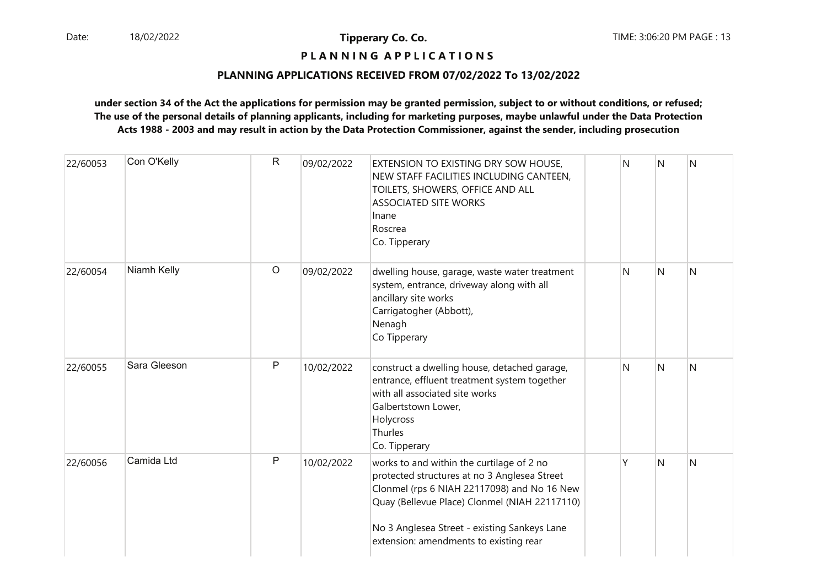#### **P L A N N I N G A P P L I C A T I O N S**

#### **PLANNING APPLICATIONS RECEIVED FROM 07/02/2022 To 13/02/2022**

| 22/60053 | Con O'Kelly  | $\mathsf{R}$ | 09/02/2022 | EXTENSION TO EXISTING DRY SOW HOUSE,<br>NEW STAFF FACILITIES INCLUDING CANTEEN,<br>TOILETS, SHOWERS, OFFICE AND ALL<br><b>ASSOCIATED SITE WORKS</b><br>Inane<br>Roscrea<br>Co. Tipperary                                                                                            | N | N | N |
|----------|--------------|--------------|------------|-------------------------------------------------------------------------------------------------------------------------------------------------------------------------------------------------------------------------------------------------------------------------------------|---|---|---|
| 22/60054 | Niamh Kelly  | $\circ$      | 09/02/2022 | dwelling house, garage, waste water treatment<br>system, entrance, driveway along with all<br>ancillary site works<br>Carrigatogher (Abbott),<br>Nenagh<br>Co Tipperary                                                                                                             | N | N | N |
| 22/60055 | Sara Gleeson | P            | 10/02/2022 | construct a dwelling house, detached garage,<br>entrance, effluent treatment system together<br>with all associated site works<br>Galbertstown Lower,<br>Holycross<br>Thurles<br>Co. Tipperary                                                                                      | N | N | N |
| 22/60056 | Camida Ltd   | $\mathsf{P}$ | 10/02/2022 | works to and within the curtilage of 2 no<br>protected structures at no 3 Anglesea Street<br>Clonmel (rps 6 NIAH 22117098) and No 16 New<br>Quay (Bellevue Place) Clonmel (NIAH 22117110)<br>No 3 Anglesea Street - existing Sankeys Lane<br>extension: amendments to existing rear | γ | N | N |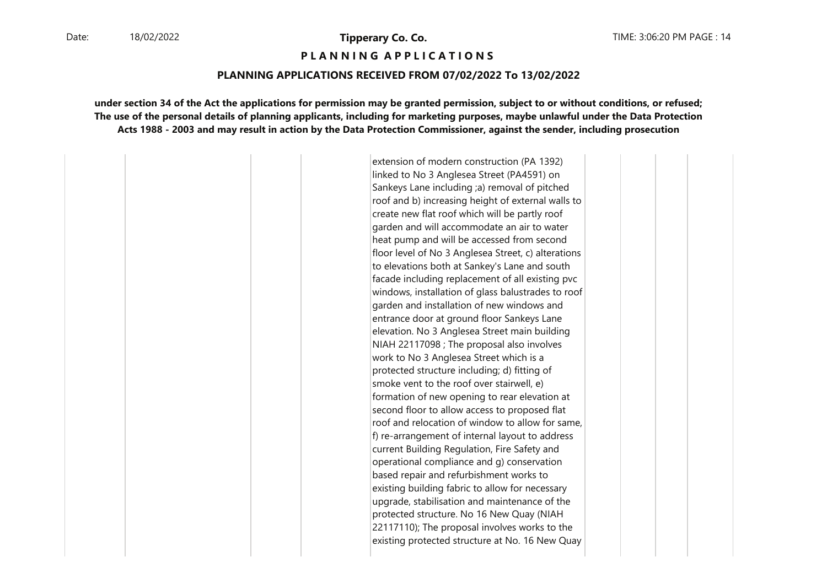**P L A N N I N G A P P L I C A T I O N S** 

#### **PLANNING APPLICATIONS RECEIVED FROM 07/02/2022 To 13/02/2022**

**under section 34 of the Act the applications for permission may be granted permission, subject to or without conditions, or refused;The use of the personal details of planning applicants, including for marketing purposes, maybe unlawful under the Data ProtectionActs 1988 - 2003 and may result in action by the Data Protection Commissioner, against the sender, including prosecution**

> extension of modern construction (PA 1392) linked to No 3 Anglesea Street (PA4591) on Sankeys Lane including ;a) removal of pitched roof and b) increasing height of external walls to create new flat roof which will be partly roof garden and will accommodate an air to water heat pump and will be accessed from second floor level of No 3 Anglesea Street, c) alterations to elevations both at Sankey's Lane and south facade including replacement of all existing pvc windows, installation of glass balustrades to roof garden and installation of new windows and entrance door at ground floor Sankeys Lane elevation. No 3 Anglesea Street main building NIAH 22117098 ; The proposal also involves work to No 3 Anglesea Street which is a protected structure including; d) fitting of smoke vent to the roof over stairwell, e) formation of new opening to rear elevation at second floor to allow access to proposed flat roof and relocation of window to allow for same, f) re-arrangement of internal layout to address current Building Regulation, Fire Safety and operational compliance and g) conservation based repair and refurbishment works to existing building fabric to allow for necessary upgrade, stabilisation and maintenance of the protected structure. No 16 New Quay (NIAH 22117110); The proposal involves works to the existing protected structure at No. 16 New Quay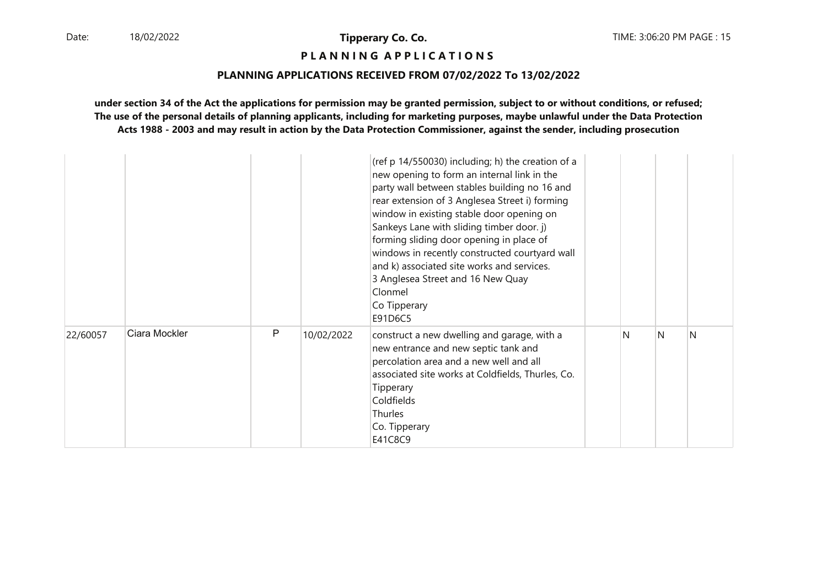# **P L A N N I N G A P P L I C A T I O N S**

#### **PLANNING APPLICATIONS RECEIVED FROM 07/02/2022 To 13/02/2022**

|          |               |              |            | (ref p 14/550030) including; h) the creation of a<br>new opening to form an internal link in the<br>party wall between stables building no 16 and<br>rear extension of 3 Anglesea Street i) forming<br>window in existing stable door opening on<br>Sankeys Lane with sliding timber door. j)<br>forming sliding door opening in place of<br>windows in recently constructed courtyard wall<br>and k) associated site works and services.<br>3 Anglesea Street and 16 New Quay<br>Clonmel<br>Co Tipperary<br>E91D6C5 |   |   |              |
|----------|---------------|--------------|------------|----------------------------------------------------------------------------------------------------------------------------------------------------------------------------------------------------------------------------------------------------------------------------------------------------------------------------------------------------------------------------------------------------------------------------------------------------------------------------------------------------------------------|---|---|--------------|
| 22/60057 | Ciara Mockler | $\mathsf{P}$ | 10/02/2022 | construct a new dwelling and garage, with a<br>new entrance and new septic tank and<br>percolation area and a new well and all<br>associated site works at Coldfields, Thurles, Co.<br>Tipperary<br>Coldfields<br>Thurles<br>Co. Tipperary<br>E41C8C9                                                                                                                                                                                                                                                                | N | N | <sup>N</sup> |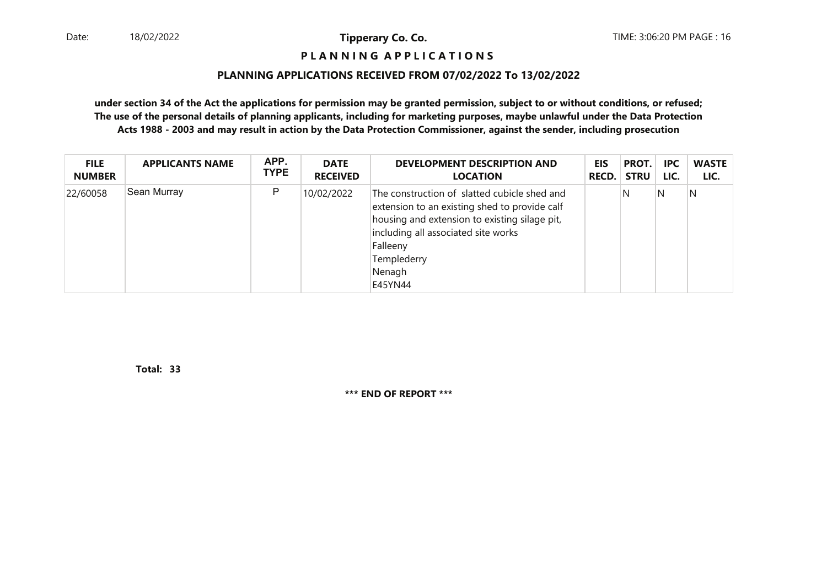#### **P L A N N I N G A P P L I C A T I O N S**

#### **PLANNING APPLICATIONS RECEIVED FROM 07/02/2022 To 13/02/2022**

**under section 34 of the Act the applications for permission may be granted permission, subject to or without conditions, or refused; The use of the personal details of planning applicants, including for marketing purposes, maybe unlawful under the Data ProtectionActs 1988 - 2003 and may result in action by the Data Protection Commissioner, against the sender, including prosecution**

| <b>FILE</b>   | <b>APPLICANTS NAME</b> | APP.        | <b>DATE</b>     | <b>DEVELOPMENT DESCRIPTION AND</b>                                                                                                                                                                                                    | EIS          | PROT.       | <b>IPC</b> | <b>WASTE</b> |
|---------------|------------------------|-------------|-----------------|---------------------------------------------------------------------------------------------------------------------------------------------------------------------------------------------------------------------------------------|--------------|-------------|------------|--------------|
| <b>NUMBER</b> |                        | <b>TYPE</b> | <b>RECEIVED</b> | <b>LOCATION</b>                                                                                                                                                                                                                       | <b>RECD.</b> | <b>STRU</b> | LIC.       | LIC.         |
| 22/60058      | Sean Murray            | P           | 10/02/2022      | The construction of slatted cubicle shed and<br>extension to an existing shed to provide calf<br>housing and extension to existing silage pit,<br>including all associated site works<br>Falleeny<br>Templederry<br>Nenagh<br>E45YN44 |              | N           | N          | N            |

**33Total:** 

**\*\*\* END OF REPORT \*\*\***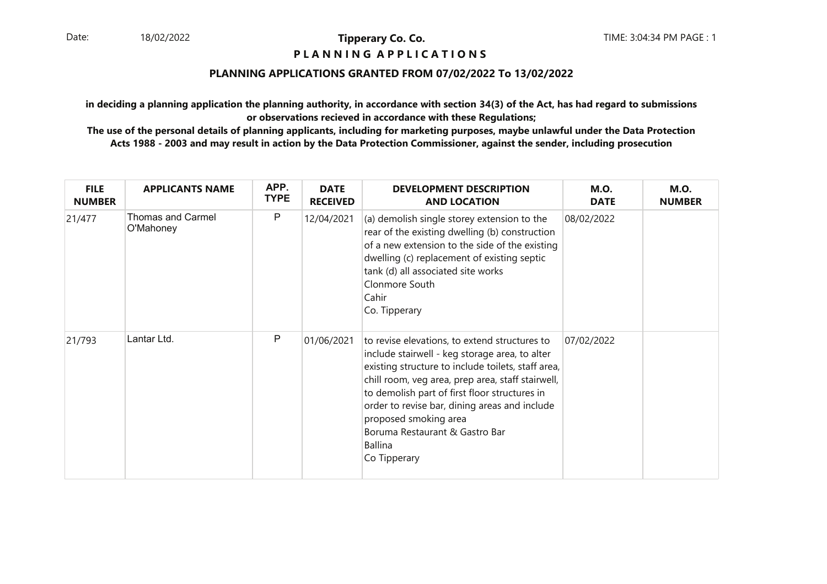#### **P L A N N I N G A P P L I C A T I O N S**

#### **PLANNING APPLICATIONS GRANTED FROM 07/02/2022 To 13/02/2022**

**in deciding a planning application the planning authority, in accordance with section 34(3) of the Act, has had regard to submissionsor observations recieved in accordance with these Regulations;**

| <b>FILE</b><br><b>NUMBER</b> | <b>APPLICANTS NAME</b>                | APP.<br><b>TYPE</b> | <b>DATE</b><br><b>RECEIVED</b> | <b>DEVELOPMENT DESCRIPTION</b><br><b>AND LOCATION</b>                                                                                                                                                                                                                                                                                                                                                     | <b>M.O.</b><br><b>DATE</b> | <b>M.O.</b><br><b>NUMBER</b> |
|------------------------------|---------------------------------------|---------------------|--------------------------------|-----------------------------------------------------------------------------------------------------------------------------------------------------------------------------------------------------------------------------------------------------------------------------------------------------------------------------------------------------------------------------------------------------------|----------------------------|------------------------------|
| 21/477                       | <b>Thomas and Carmel</b><br>O'Mahoney | P                   | 12/04/2021                     | (a) demolish single storey extension to the<br>rear of the existing dwelling (b) construction<br>of a new extension to the side of the existing<br>dwelling (c) replacement of existing septic<br>tank (d) all associated site works<br>Clonmore South<br>Cahir<br>Co. Tipperary                                                                                                                          | 08/02/2022                 |                              |
| 21/793                       | Lantar Ltd.                           | P                   | 01/06/2021                     | to revise elevations, to extend structures to<br>include stairwell - keg storage area, to alter<br>existing structure to include toilets, staff area,<br>chill room, veg area, prep area, staff stairwell,<br>to demolish part of first floor structures in<br>order to revise bar, dining areas and include<br>proposed smoking area<br>Boruma Restaurant & Gastro Bar<br><b>Ballina</b><br>Co Tipperary | 07/02/2022                 |                              |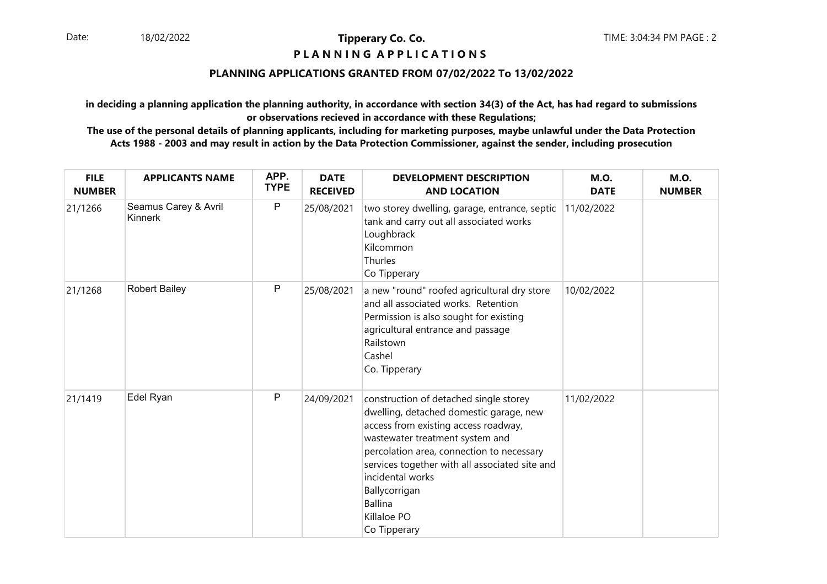#### **P L A N N I N G A P P L I C A T I O N S**

#### **PLANNING APPLICATIONS GRANTED FROM 07/02/2022 To 13/02/2022**

**in deciding a planning application the planning authority, in accordance with section 34(3) of the Act, has had regard to submissionsor observations recieved in accordance with these Regulations;**

| <b>FILE</b><br><b>NUMBER</b> | <b>APPLICANTS NAME</b>          | APP.<br><b>TYPE</b> | <b>DATE</b><br><b>RECEIVED</b> | <b>DEVELOPMENT DESCRIPTION</b><br><b>AND LOCATION</b>                                                                                                                                                                                                                                                                                             | <b>M.O.</b><br><b>DATE</b> | <b>M.O.</b><br><b>NUMBER</b> |
|------------------------------|---------------------------------|---------------------|--------------------------------|---------------------------------------------------------------------------------------------------------------------------------------------------------------------------------------------------------------------------------------------------------------------------------------------------------------------------------------------------|----------------------------|------------------------------|
| 21/1266                      | Seamus Carey & Avril<br>Kinnerk | P                   | 25/08/2021                     | two storey dwelling, garage, entrance, septic<br>tank and carry out all associated works<br>Loughbrack<br>Kilcommon<br>Thurles<br>Co Tipperary                                                                                                                                                                                                    | 11/02/2022                 |                              |
| 21/1268                      | <b>Robert Bailey</b>            | P                   | 25/08/2021                     | a new "round" roofed agricultural dry store<br>and all associated works. Retention<br>Permission is also sought for existing<br>agricultural entrance and passage<br>Railstown<br>Cashel<br>Co. Tipperary                                                                                                                                         | 10/02/2022                 |                              |
| 21/1419                      | Edel Ryan                       | P                   | 24/09/2021                     | construction of detached single storey<br>dwelling, detached domestic garage, new<br>access from existing access roadway,<br>wastewater treatment system and<br>percolation area, connection to necessary<br>services together with all associated site and<br>incidental works<br>Ballycorrigan<br><b>Ballina</b><br>Killaloe PO<br>Co Tipperary | 11/02/2022                 |                              |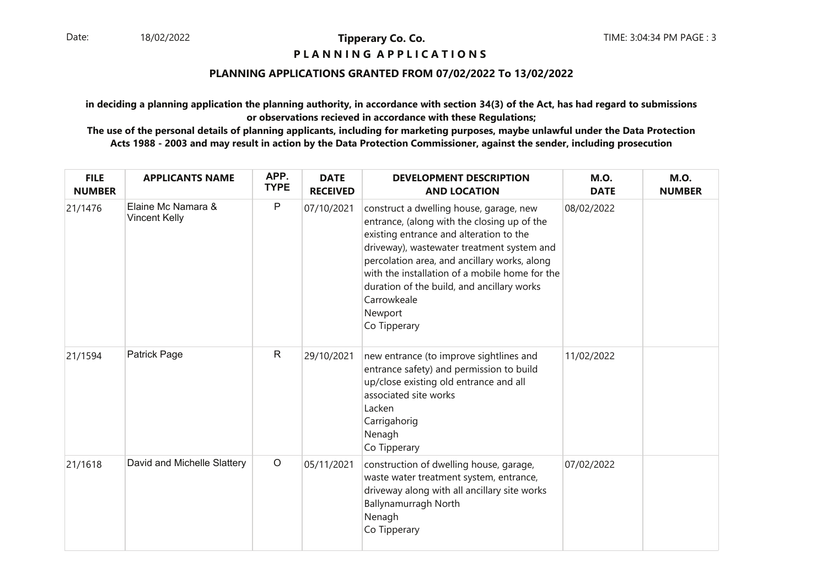#### **P L A N N I N G A P P L I C A T I O N S**

#### **PLANNING APPLICATIONS GRANTED FROM 07/02/2022 To 13/02/2022**

**in deciding a planning application the planning authority, in accordance with section 34(3) of the Act, has had regard to submissionsor observations recieved in accordance with these Regulations;**

| <b>FILE</b><br><b>NUMBER</b> | <b>APPLICANTS NAME</b>                     | APP.<br><b>TYPE</b> | <b>DATE</b><br><b>RECEIVED</b> | <b>DEVELOPMENT DESCRIPTION</b><br><b>AND LOCATION</b>                                                                                                                                                                                                                                                                                                                     | <b>M.O.</b><br><b>DATE</b> | <b>M.O.</b><br><b>NUMBER</b> |
|------------------------------|--------------------------------------------|---------------------|--------------------------------|---------------------------------------------------------------------------------------------------------------------------------------------------------------------------------------------------------------------------------------------------------------------------------------------------------------------------------------------------------------------------|----------------------------|------------------------------|
| 21/1476                      | Elaine Mc Namara &<br><b>Vincent Kelly</b> | P                   | 07/10/2021                     | construct a dwelling house, garage, new<br>entrance, (along with the closing up of the<br>existing entrance and alteration to the<br>driveway), wastewater treatment system and<br>percolation area, and ancillary works, along<br>with the installation of a mobile home for the<br>duration of the build, and ancillary works<br>Carrowkeale<br>Newport<br>Co Tipperary | 08/02/2022                 |                              |
| 21/1594                      | Patrick Page                               | $\mathsf{R}$        | 29/10/2021                     | new entrance (to improve sightlines and<br>entrance safety) and permission to build<br>up/close existing old entrance and all<br>associated site works<br>Lacken<br>Carrigahorig<br>Nenagh<br>Co Tipperary                                                                                                                                                                | 11/02/2022                 |                              |
| 21/1618                      | David and Michelle Slattery                | $\circ$             | 05/11/2021                     | construction of dwelling house, garage,<br>waste water treatment system, entrance,<br>driveway along with all ancillary site works<br>Ballynamurragh North<br>Nenagh<br>Co Tipperary                                                                                                                                                                                      | 07/02/2022                 |                              |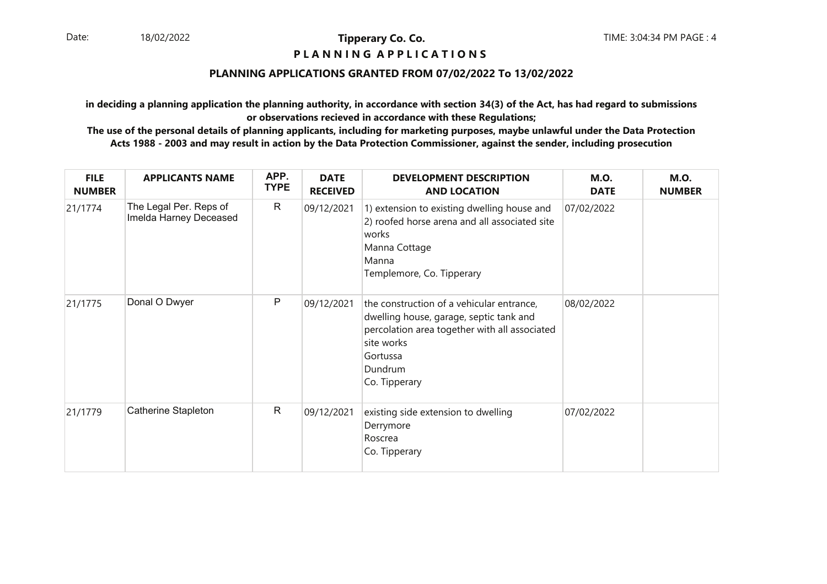#### **P L A N N I N G A P P L I C A T I O N S**

#### **PLANNING APPLICATIONS GRANTED FROM 07/02/2022 To 13/02/2022**

**in deciding a planning application the planning authority, in accordance with section 34(3) of the Act, has had regard to submissionsor observations recieved in accordance with these Regulations;**

| <b>FILE</b><br><b>NUMBER</b> | <b>APPLICANTS NAME</b>                           | APP.<br><b>TYPE</b> | <b>DATE</b><br><b>RECEIVED</b> | <b>DEVELOPMENT DESCRIPTION</b><br><b>AND LOCATION</b>                                                                                                                                       | <b>M.O.</b><br><b>DATE</b> | <b>M.O.</b><br><b>NUMBER</b> |
|------------------------------|--------------------------------------------------|---------------------|--------------------------------|---------------------------------------------------------------------------------------------------------------------------------------------------------------------------------------------|----------------------------|------------------------------|
| 21/1774                      | The Legal Per. Reps of<br>Imelda Harney Deceased | $\mathsf{R}$        | 09/12/2021                     | 1) extension to existing dwelling house and<br>2) roofed horse arena and all associated site<br>works<br>Manna Cottage<br>Manna<br>Templemore, Co. Tipperary                                | 07/02/2022                 |                              |
| 21/1775                      | Donal O Dwyer                                    | $\mathsf{P}$        | 09/12/2021                     | the construction of a vehicular entrance,<br>dwelling house, garage, septic tank and<br>percolation area together with all associated<br>site works<br>Gortussa<br>Dundrum<br>Co. Tipperary | 08/02/2022                 |                              |
| 21/1779                      | Catherine Stapleton                              | $\mathsf{R}$        | 09/12/2021                     | existing side extension to dwelling<br>Derrymore<br>Roscrea<br>Co. Tipperary                                                                                                                | 07/02/2022                 |                              |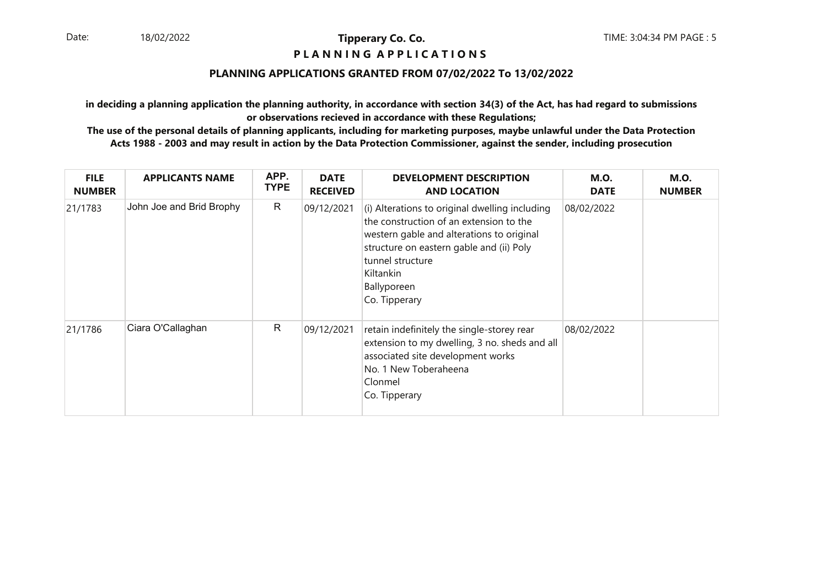#### **P L A N N I N G A P P L I C A T I O N S**

#### **PLANNING APPLICATIONS GRANTED FROM 07/02/2022 To 13/02/2022**

**in deciding a planning application the planning authority, in accordance with section 34(3) of the Act, has had regard to submissionsor observations recieved in accordance with these Regulations;**

| <b>FILE</b><br><b>NUMBER</b> | <b>APPLICANTS NAME</b>   | APP.<br><b>TYPE</b> | <b>DATE</b><br><b>RECEIVED</b> | <b>DEVELOPMENT DESCRIPTION</b><br><b>AND LOCATION</b>                                                                                                                                                                                               | <b>M.O.</b><br><b>DATE</b> | <b>M.O.</b><br><b>NUMBER</b> |
|------------------------------|--------------------------|---------------------|--------------------------------|-----------------------------------------------------------------------------------------------------------------------------------------------------------------------------------------------------------------------------------------------------|----------------------------|------------------------------|
| 21/1783                      | John Joe and Brid Brophy | R.                  | 09/12/2021                     | (i) Alterations to original dwelling including<br>the construction of an extension to the<br>western gable and alterations to original<br>structure on eastern gable and (ii) Poly<br>tunnel structure<br>Kiltankin<br>Ballyporeen<br>Co. Tipperary | 08/02/2022                 |                              |
| 21/1786                      | Ciara O'Callaghan        | R                   | 09/12/2021                     | retain indefinitely the single-storey rear<br>extension to my dwelling, 3 no. sheds and all<br>associated site development works<br>No. 1 New Toberaheena<br>Clonmel<br>Co. Tipperary                                                               | 08/02/2022                 |                              |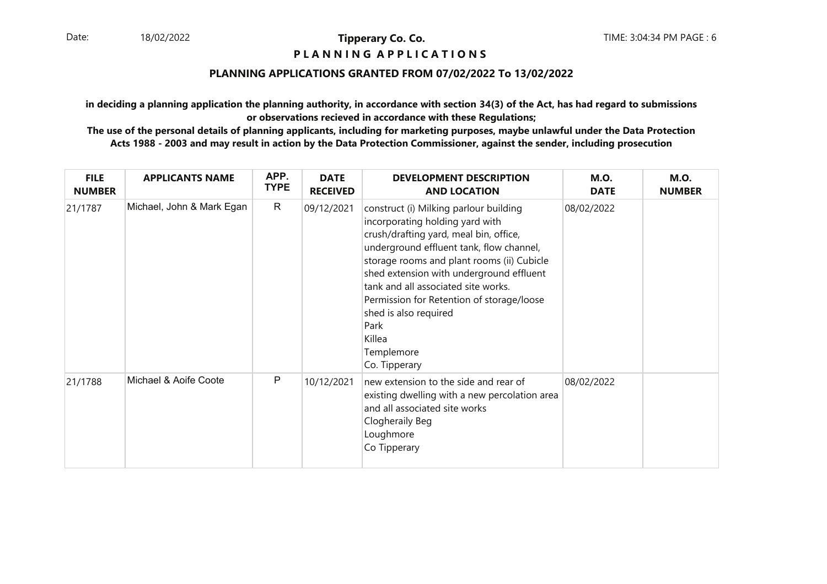#### **P L A N N I N G A P P L I C A T I O N S**

#### **PLANNING APPLICATIONS GRANTED FROM 07/02/2022 To 13/02/2022**

**in deciding a planning application the planning authority, in accordance with section 34(3) of the Act, has had regard to submissionsor observations recieved in accordance with these Regulations;**

| <b>FILE</b><br><b>NUMBER</b> | <b>APPLICANTS NAME</b>    | APP.<br><b>TYPE</b> | <b>DATE</b><br><b>RECEIVED</b> | <b>DEVELOPMENT DESCRIPTION</b><br><b>AND LOCATION</b>                                                                                                                                                                                                                                                                                                                                                                   | <b>M.O.</b><br><b>DATE</b> | <b>M.O.</b><br><b>NUMBER</b> |
|------------------------------|---------------------------|---------------------|--------------------------------|-------------------------------------------------------------------------------------------------------------------------------------------------------------------------------------------------------------------------------------------------------------------------------------------------------------------------------------------------------------------------------------------------------------------------|----------------------------|------------------------------|
| 21/1787                      | Michael, John & Mark Egan | $\mathsf{R}$        | 09/12/2021                     | construct (i) Milking parlour building<br>incorporating holding yard with<br>crush/drafting yard, meal bin, office,<br>underground effluent tank, flow channel,<br>storage rooms and plant rooms (ii) Cubicle<br>shed extension with underground effluent<br>tank and all associated site works.<br>Permission for Retention of storage/loose<br>shed is also required<br>Park<br>Killea<br>Templemore<br>Co. Tipperary | 08/02/2022                 |                              |
| 21/1788                      | Michael & Aoife Coote     | P                   | 10/12/2021                     | new extension to the side and rear of<br>existing dwelling with a new percolation area<br>and all associated site works<br>Clogheraily Beg<br>Loughmore<br>Co Tipperary                                                                                                                                                                                                                                                 | 08/02/2022                 |                              |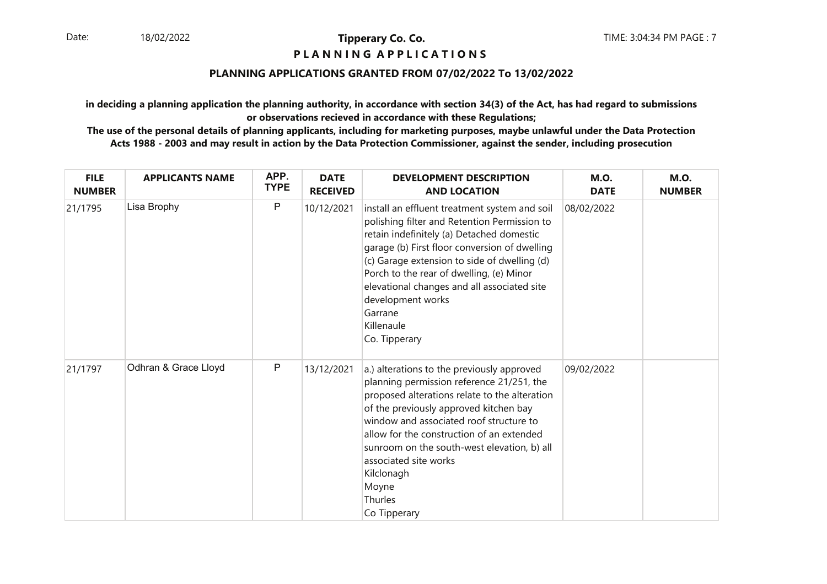# **P L A N N I N G A P P L I C A T I O N S**

#### **PLANNING APPLICATIONS GRANTED FROM 07/02/2022 To 13/02/2022**

**in deciding a planning application the planning authority, in accordance with section 34(3) of the Act, has had regard to submissionsor observations recieved in accordance with these Regulations;**

| <b>FILE</b><br><b>NUMBER</b> | <b>APPLICANTS NAME</b> | APP.<br><b>TYPE</b> | <b>DATE</b><br><b>RECEIVED</b> | <b>DEVELOPMENT DESCRIPTION</b><br><b>AND LOCATION</b>                                                                                                                                                                                                                                                                                                                                                 | <b>M.O.</b><br><b>DATE</b> | <b>M.O.</b><br><b>NUMBER</b> |
|------------------------------|------------------------|---------------------|--------------------------------|-------------------------------------------------------------------------------------------------------------------------------------------------------------------------------------------------------------------------------------------------------------------------------------------------------------------------------------------------------------------------------------------------------|----------------------------|------------------------------|
| 21/1795                      | Lisa Brophy            | $\mathsf{P}$        | 10/12/2021                     | install an effluent treatment system and soil<br>polishing filter and Retention Permission to<br>retain indefinitely (a) Detached domestic<br>garage (b) First floor conversion of dwelling<br>(c) Garage extension to side of dwelling (d)<br>Porch to the rear of dwelling, (e) Minor<br>elevational changes and all associated site<br>development works<br>Garrane<br>Killenaule<br>Co. Tipperary | 08/02/2022                 |                              |
| 21/1797                      | Odhran & Grace Lloyd   | P                   | 13/12/2021                     | a.) alterations to the previously approved<br>planning permission reference 21/251, the<br>proposed alterations relate to the alteration<br>of the previously approved kitchen bay<br>window and associated roof structure to<br>allow for the construction of an extended<br>sunroom on the south-west elevation, b) all<br>associated site works<br>Kilclonagh<br>Moyne<br>Thurles<br>Co Tipperary  | 09/02/2022                 |                              |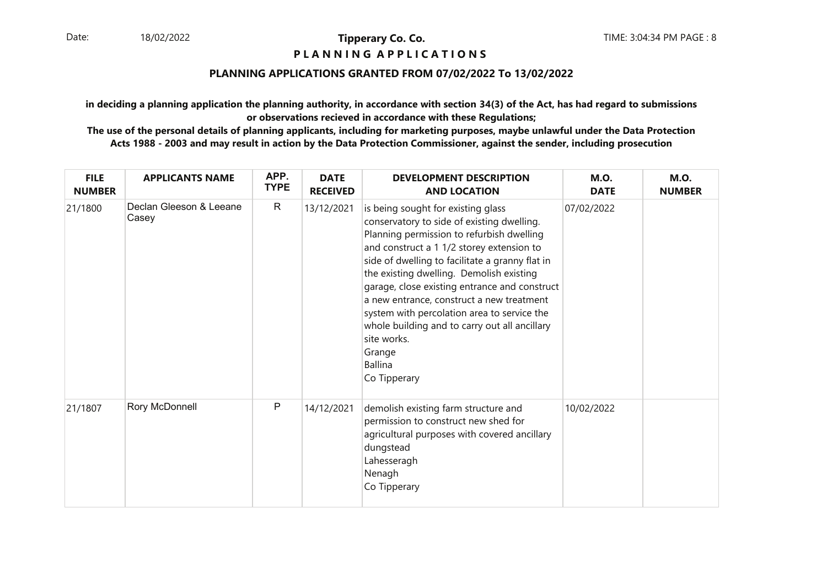#### **P L A N N I N G A P P L I C A T I O N S**

#### **PLANNING APPLICATIONS GRANTED FROM 07/02/2022 To 13/02/2022**

**in deciding a planning application the planning authority, in accordance with section 34(3) of the Act, has had regard to submissionsor observations recieved in accordance with these Regulations;**

| <b>FILE</b><br><b>NUMBER</b> | <b>APPLICANTS NAME</b>           | APP.<br><b>TYPE</b> | <b>DATE</b><br><b>RECEIVED</b> | <b>DEVELOPMENT DESCRIPTION</b><br><b>AND LOCATION</b>                                                                                                                                                                                                                                                                                                                                                                                                                                                                       | <b>M.O.</b><br><b>DATE</b> | <b>M.O.</b><br><b>NUMBER</b> |
|------------------------------|----------------------------------|---------------------|--------------------------------|-----------------------------------------------------------------------------------------------------------------------------------------------------------------------------------------------------------------------------------------------------------------------------------------------------------------------------------------------------------------------------------------------------------------------------------------------------------------------------------------------------------------------------|----------------------------|------------------------------|
| 21/1800                      | Declan Gleeson & Leeane<br>Casey | R                   | 13/12/2021                     | is being sought for existing glass<br>conservatory to side of existing dwelling.<br>Planning permission to refurbish dwelling<br>and construct a 1 1/2 storey extension to<br>side of dwelling to facilitate a granny flat in<br>the existing dwelling. Demolish existing<br>garage, close existing entrance and construct<br>a new entrance, construct a new treatment<br>system with percolation area to service the<br>whole building and to carry out all ancillary<br>site works.<br>Grange<br>Ballina<br>Co Tipperary | 07/02/2022                 |                              |
| 21/1807                      | Rory McDonnell                   | P                   | 14/12/2021                     | demolish existing farm structure and<br>permission to construct new shed for<br>agricultural purposes with covered ancillary<br>dungstead<br>Lahesseragh<br>Nenagh<br>Co Tipperary                                                                                                                                                                                                                                                                                                                                          | 10/02/2022                 |                              |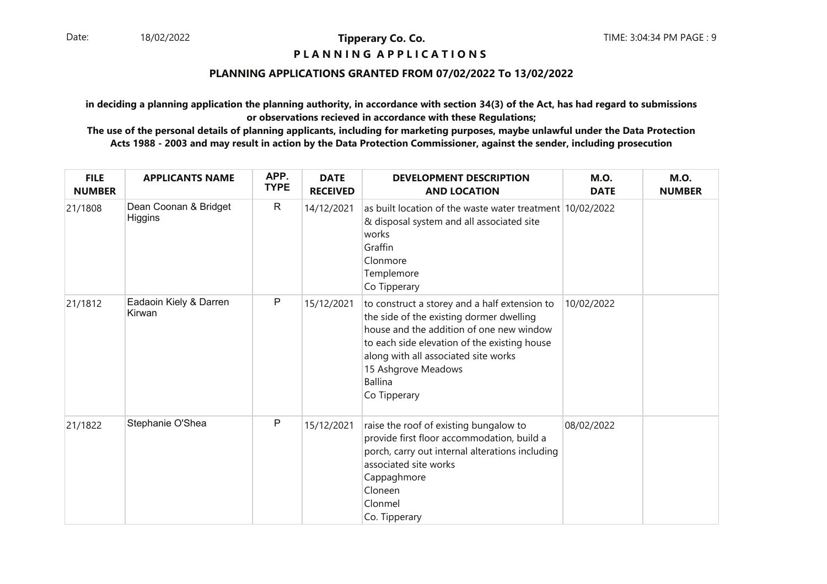#### **P L A N N I N G A P P L I C A T I O N S**

#### **PLANNING APPLICATIONS GRANTED FROM 07/02/2022 To 13/02/2022**

**in deciding a planning application the planning authority, in accordance with section 34(3) of the Act, has had regard to submissionsor observations recieved in accordance with these Regulations;**

| <b>FILE</b><br><b>NUMBER</b> | <b>APPLICANTS NAME</b>           | APP.<br><b>TYPE</b> | <b>DATE</b><br><b>RECEIVED</b> | <b>DEVELOPMENT DESCRIPTION</b><br><b>AND LOCATION</b>                                                                                                                                                                                                                                  | <b>M.O.</b><br><b>DATE</b> | <b>M.O.</b><br><b>NUMBER</b> |
|------------------------------|----------------------------------|---------------------|--------------------------------|----------------------------------------------------------------------------------------------------------------------------------------------------------------------------------------------------------------------------------------------------------------------------------------|----------------------------|------------------------------|
| 21/1808                      | Dean Coonan & Bridget<br>Higgins | $\mathsf{R}$        | 14/12/2021                     | as built location of the waste water treatment 10/02/2022<br>& disposal system and all associated site<br>works<br>Graffin<br>Clonmore<br>Templemore<br>Co Tipperary                                                                                                                   |                            |                              |
| 21/1812                      | Eadaoin Kiely & Darren<br>Kirwan | P                   | 15/12/2021                     | to construct a storey and a half extension to<br>the side of the existing dormer dwelling<br>house and the addition of one new window<br>to each side elevation of the existing house<br>along with all associated site works<br>15 Ashgrove Meadows<br><b>Ballina</b><br>Co Tipperary | 10/02/2022                 |                              |
| 21/1822                      | Stephanie O'Shea                 | P                   | 15/12/2021                     | raise the roof of existing bungalow to<br>provide first floor accommodation, build a<br>porch, carry out internal alterations including<br>associated site works<br>Cappaghmore<br>Cloneen<br>Clonmel<br>Co. Tipperary                                                                 | 08/02/2022                 |                              |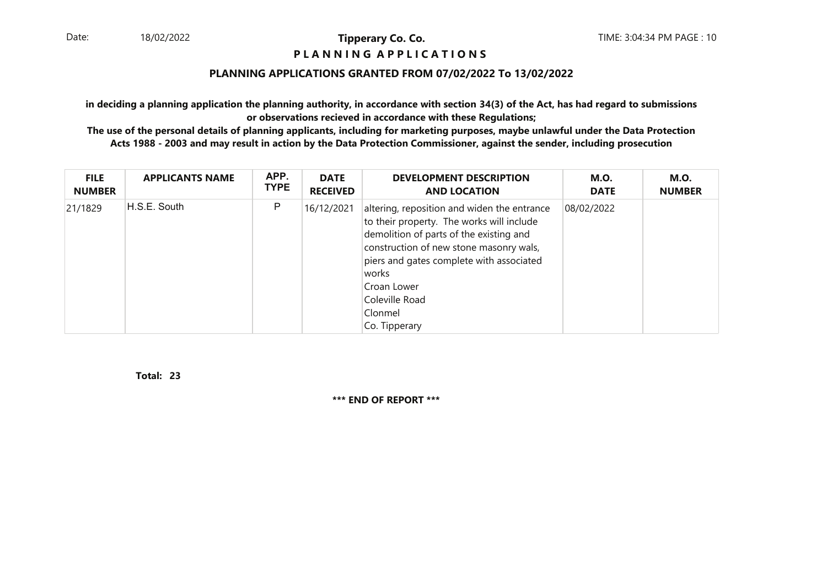#### **P L A N N I N G A P P L I C A T I O N S**

#### **PLANNING APPLICATIONS GRANTED FROM 07/02/2022 To 13/02/2022**

**in deciding a planning application the planning authority, in accordance with section 34(3) of the Act, has had regard to submissionsor observations recieved in accordance with these Regulations;**

 **The use of the personal details of planning applicants, including for marketing purposes, maybe unlawful under the Data ProtectionActs 1988 - 2003 and may result in action by the Data Protection Commissioner, against the sender, including prosecution**

| <b>FILE</b>   | <b>APPLICANTS NAME</b> | APP.        | <b>DATE</b>     | <b>DEVELOPMENT DESCRIPTION</b>                                                                                                                                                                                                                                                                   | <b>M.O.</b> | <b>M.O.</b>   |
|---------------|------------------------|-------------|-----------------|--------------------------------------------------------------------------------------------------------------------------------------------------------------------------------------------------------------------------------------------------------------------------------------------------|-------------|---------------|
| <b>NUMBER</b> |                        | <b>TYPE</b> | <b>RECEIVED</b> | <b>AND LOCATION</b>                                                                                                                                                                                                                                                                              | <b>DATE</b> | <b>NUMBER</b> |
| 21/1829       | H.S.E. South           | P           | 16/12/2021      | altering, reposition and widen the entrance<br>to their property. The works will include<br>demolition of parts of the existing and<br>construction of new stone masonry wals,<br>piers and gates complete with associated<br>works<br>Croan Lower<br>Coleville Road<br>Clonmel<br>Co. Tipperary | 08/02/2022  |               |

**23Total:** 

**\*\*\* END OF REPORT \*\*\***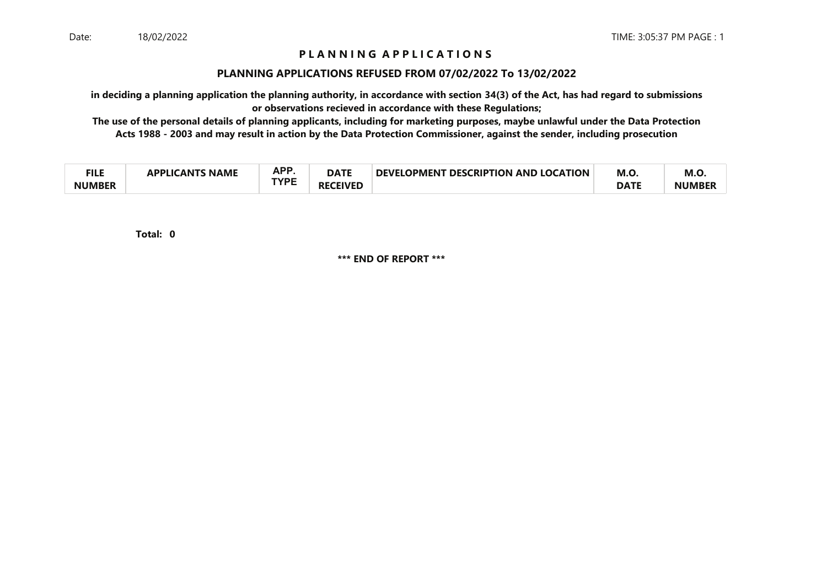# **P L A N N I N G A P P L I C A T I O N S**

#### **PLANNING APPLICATIONS REFUSED FROM 07/02/2022 To 13/02/2022**

**in deciding a planning application the planning authority, in accordance with section 34(3) of the Act, has had regard to submissionsor observations recieved in accordance with these Regulations;**

 **The use of the personal details of planning applicants, including for marketing purposes, maybe unlawful under the Data ProtectionActs 1988 - 2003 and may result in action by the Data Protection Commissioner, against the sender, including prosecution**

| ru c<br>╶╻┖┖  | PLICANTS NAME<br><b>ADDI IC</b> | ΔPΡ<br>п. | <b>DATE</b>          | <b>T DESCRIPTION AND LOCATION</b><br><b>DEVELOPMENT</b> | M.O         | M.O.          |
|---------------|---------------------------------|-----------|----------------------|---------------------------------------------------------|-------------|---------------|
| <b>NUMBER</b> |                                 | TVNC      | <b>CEIVED</b><br>RF) |                                                         | <b>DATE</b> | <b>NUMBER</b> |

**0Total:** 

**\*\*\* END OF REPORT \*\*\***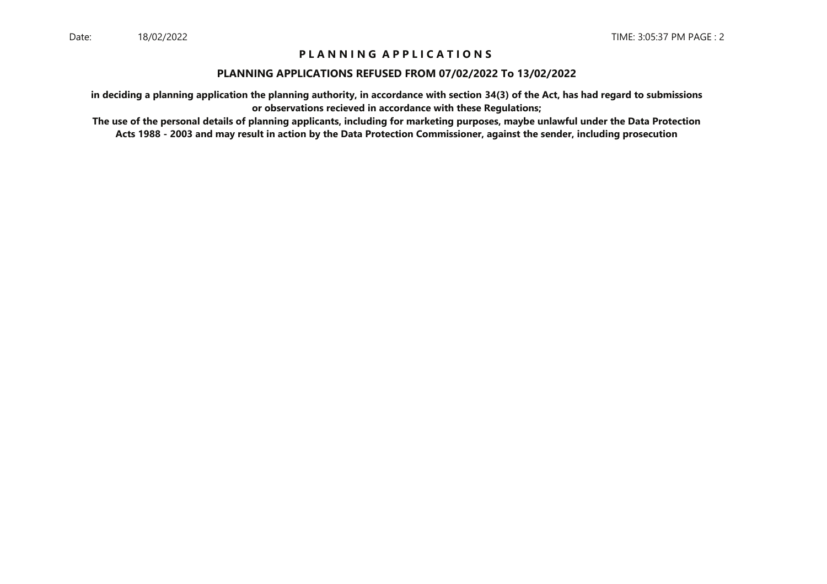# **P L A N N I N G A P P L I C A T I O N S**

#### **PLANNING APPLICATIONS REFUSED FROM 07/02/2022 To 13/02/2022**

**in deciding a planning application the planning authority, in accordance with section 34(3) of the Act, has had regard to submissionsor observations recieved in accordance with these Regulations;**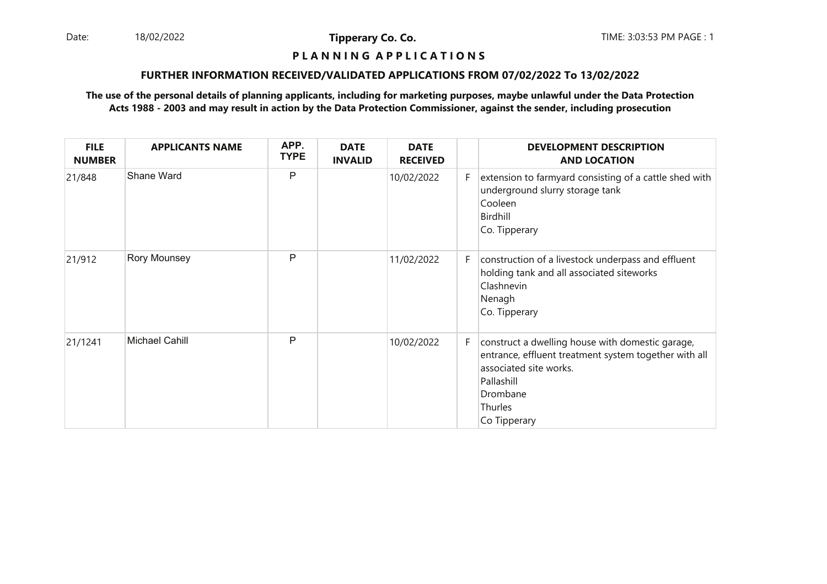Date: 18/02/2022 **Tipperary Co. Co. The:** 3:03:53 PM PAGE : 1 18/02/2022

**Tipperary Co. Co.**

# **P L A N N I N G A P P L I C A T I O N S**

#### **FURTHER INFORMATION RECEIVED/VALIDATED APPLICATIONS FROM 07/02/2022 To 13/02/2022**

| <b>FILE</b><br><b>NUMBER</b> | <b>APPLICANTS NAME</b> | APP.<br><b>TYPE</b> | <b>DATE</b><br><b>INVALID</b> | <b>DATE</b><br><b>RECEIVED</b> |    | <b>DEVELOPMENT DESCRIPTION</b><br><b>AND LOCATION</b>                                                                                                                                    |
|------------------------------|------------------------|---------------------|-------------------------------|--------------------------------|----|------------------------------------------------------------------------------------------------------------------------------------------------------------------------------------------|
| 21/848                       | Shane Ward             | P                   |                               | 10/02/2022                     | F. | extension to farmyard consisting of a cattle shed with<br>underground slurry storage tank<br>Cooleen<br>Birdhill<br>Co. Tipperary                                                        |
| 21/912                       | Rory Mounsey           | P                   |                               | 11/02/2022                     | F. | construction of a livestock underpass and effluent<br>holding tank and all associated siteworks<br>Clashnevin<br>Nenagh<br>Co. Tipperary                                                 |
| 21/1241                      | <b>Michael Cahill</b>  | P                   |                               | 10/02/2022                     | F. | construct a dwelling house with domestic garage,<br>entrance, effluent treatment system together with all<br>associated site works.<br>Pallashill<br>Drombane<br>Thurles<br>Co Tipperary |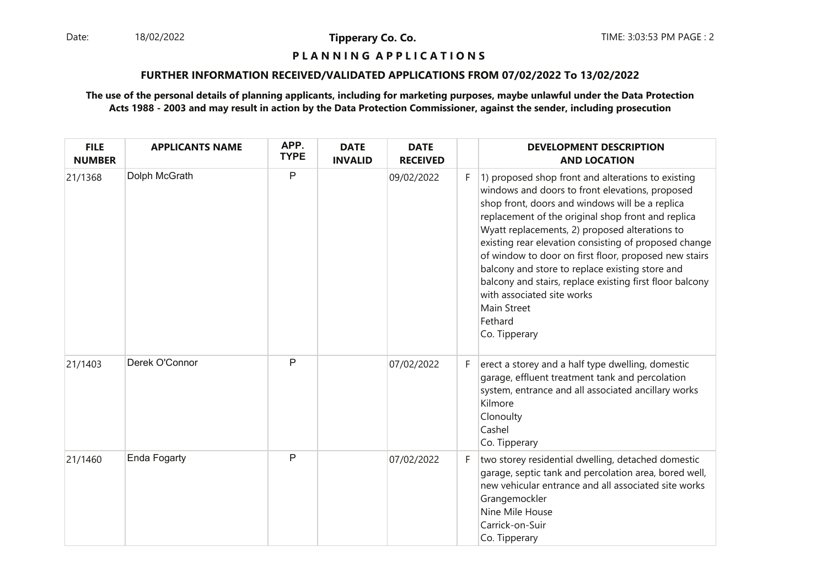Date: 18/02/2022 **Tipperary Co. Co. Co.** The TIME: 3:03:53 PM PAGE : 2 18/02/2022

**Tipperary Co. Co.**

# **P L A N N I N G A P P L I C A T I O N S**

#### **FURTHER INFORMATION RECEIVED/VALIDATED APPLICATIONS FROM 07/02/2022 To 13/02/2022**

| <b>FILE</b><br><b>NUMBER</b> | <b>APPLICANTS NAME</b> | APP.<br><b>TYPE</b> | <b>DATE</b><br><b>INVALID</b> | <b>DATE</b><br><b>RECEIVED</b> |    | <b>DEVELOPMENT DESCRIPTION</b><br><b>AND LOCATION</b>                                                                                                                                                                                                                                                                                                                                                                                                                                                                                                                      |
|------------------------------|------------------------|---------------------|-------------------------------|--------------------------------|----|----------------------------------------------------------------------------------------------------------------------------------------------------------------------------------------------------------------------------------------------------------------------------------------------------------------------------------------------------------------------------------------------------------------------------------------------------------------------------------------------------------------------------------------------------------------------------|
| 21/1368                      | Dolph McGrath          | P                   |                               | 09/02/2022                     | F. | 1) proposed shop front and alterations to existing<br>windows and doors to front elevations, proposed<br>shop front, doors and windows will be a replica<br>replacement of the original shop front and replica<br>Wyatt replacements, 2) proposed alterations to<br>existing rear elevation consisting of proposed change<br>of window to door on first floor, proposed new stairs<br>balcony and store to replace existing store and<br>balcony and stairs, replace existing first floor balcony<br>with associated site works<br>Main Street<br>Fethard<br>Co. Tipperary |
| 21/1403                      | Derek O'Connor         | P                   |                               | 07/02/2022                     | F. | erect a storey and a half type dwelling, domestic<br>garage, effluent treatment tank and percolation<br>system, entrance and all associated ancillary works<br>Kilmore<br>Clonoulty<br>Cashel<br>Co. Tipperary                                                                                                                                                                                                                                                                                                                                                             |
| 21/1460                      | <b>Enda Fogarty</b>    | P                   |                               | 07/02/2022                     | F. | two storey residential dwelling, detached domestic<br>garage, septic tank and percolation area, bored well,<br>new vehicular entrance and all associated site works<br>Grangemockler<br>Nine Mile House<br>Carrick-on-Suir<br>Co. Tipperary                                                                                                                                                                                                                                                                                                                                |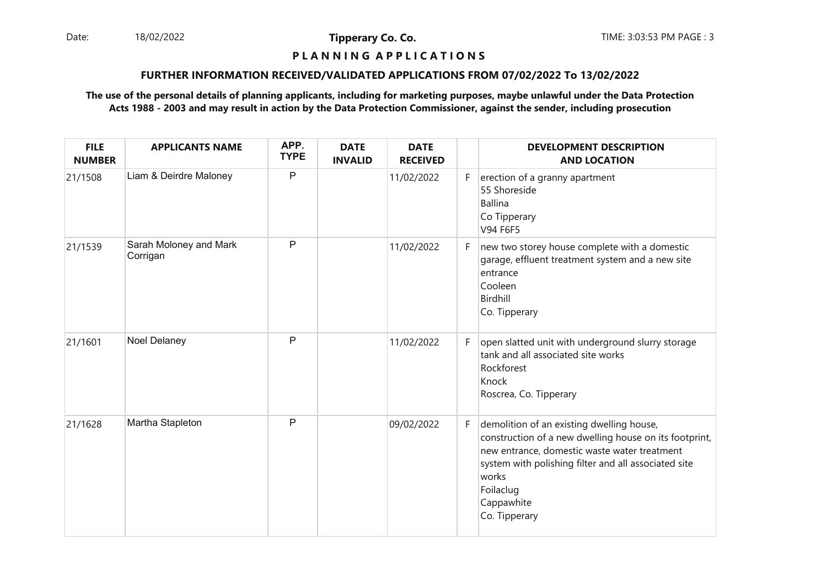Date: 18/02/2022 **Tipperary Co. Co. The Co. Co.** TIME: 3:03:53 PM PAGE : 3 18/02/2022

**Tipperary Co. Co.**

# **P L A N N I N G A P P L I C A T I O N S**

#### **FURTHER INFORMATION RECEIVED/VALIDATED APPLICATIONS FROM 07/02/2022 To 13/02/2022**

| <b>FILE</b><br><b>NUMBER</b> | <b>APPLICANTS NAME</b>             | APP.<br><b>TYPE</b> | <b>DATE</b><br><b>INVALID</b> | <b>DATE</b><br><b>RECEIVED</b> |    | <b>DEVELOPMENT DESCRIPTION</b><br><b>AND LOCATION</b>                                                                                                                                                                                                            |
|------------------------------|------------------------------------|---------------------|-------------------------------|--------------------------------|----|------------------------------------------------------------------------------------------------------------------------------------------------------------------------------------------------------------------------------------------------------------------|
| 21/1508                      | Liam & Deirdre Maloney             | $\mathsf{P}$        |                               | 11/02/2022                     | F. | erection of a granny apartment<br>55 Shoreside<br><b>Ballina</b><br>Co Tipperary<br>V94 F6F5                                                                                                                                                                     |
| 21/1539                      | Sarah Moloney and Mark<br>Corrigan | $\mathsf{P}$        |                               | 11/02/2022                     | F. | new two storey house complete with a domestic<br>garage, effluent treatment system and a new site<br>entrance<br>Cooleen<br><b>Birdhill</b><br>Co. Tipperary                                                                                                     |
| 21/1601                      | Noel Delaney                       | $\mathsf{P}$        |                               | 11/02/2022                     | F  | open slatted unit with underground slurry storage<br>tank and all associated site works<br>Rockforest<br>Knock<br>Roscrea, Co. Tipperary                                                                                                                         |
| 21/1628                      | Martha Stapleton                   | P                   |                               | 09/02/2022                     | F. | demolition of an existing dwelling house,<br>construction of a new dwelling house on its footprint,<br>new entrance, domestic waste water treatment<br>system with polishing filter and all associated site<br>works<br>Foilaclug<br>Cappawhite<br>Co. Tipperary |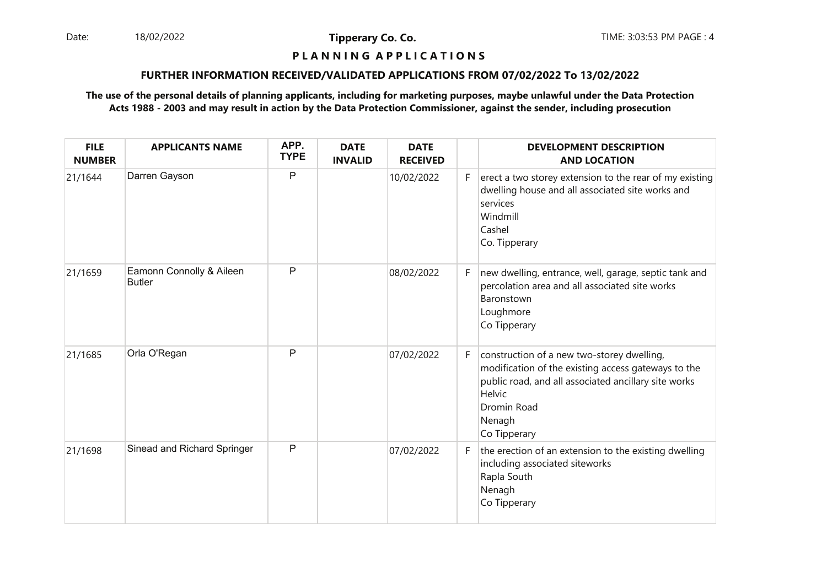Date: 18/02/2022 **Tipperary Co. Co. Co.** The TIME: 3:03:53 PM PAGE : 4 18/02/2022

**Tipperary Co. Co.**

# **P L A N N I N G A P P L I C A T I O N S**

#### **FURTHER INFORMATION RECEIVED/VALIDATED APPLICATIONS FROM 07/02/2022 To 13/02/2022**

| <b>FILE</b><br><b>NUMBER</b> | <b>APPLICANTS NAME</b>                    | APP.<br><b>TYPE</b> | <b>DATE</b><br><b>INVALID</b> | <b>DATE</b><br><b>RECEIVED</b> |    | <b>DEVELOPMENT DESCRIPTION</b><br><b>AND LOCATION</b>                                                                                                                                                        |
|------------------------------|-------------------------------------------|---------------------|-------------------------------|--------------------------------|----|--------------------------------------------------------------------------------------------------------------------------------------------------------------------------------------------------------------|
| 21/1644                      | Darren Gayson                             | P                   |                               | 10/02/2022                     | F. | erect a two storey extension to the rear of my existing<br>dwelling house and all associated site works and<br>services<br>Windmill<br>Cashel<br>Co. Tipperary                                               |
| 21/1659                      | Eamonn Connolly & Aileen<br><b>Butler</b> | P                   |                               | 08/02/2022                     | F. | new dwelling, entrance, well, garage, septic tank and<br>percolation area and all associated site works<br>Baronstown<br>Loughmore<br>Co Tipperary                                                           |
| 21/1685                      | Orla O'Regan                              | P                   |                               | 07/02/2022                     | F. | construction of a new two-storey dwelling,<br>modification of the existing access gateways to the<br>public road, and all associated ancillary site works<br>Helvic<br>Dromin Road<br>Nenagh<br>Co Tipperary |
| 21/1698                      | Sinead and Richard Springer               | P                   |                               | 07/02/2022                     | F. | the erection of an extension to the existing dwelling<br>including associated siteworks<br>Rapla South<br>Nenagh<br>Co Tipperary                                                                             |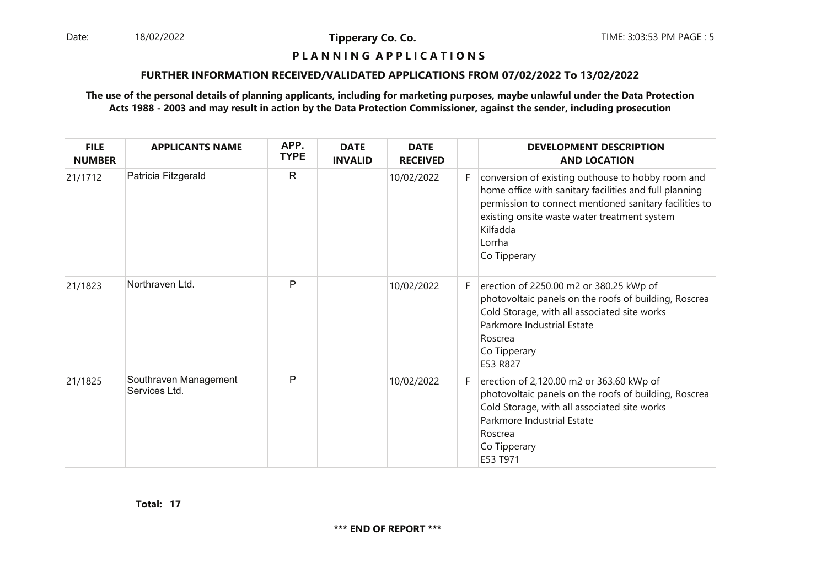Date: 18/02/2022 **Tipperary Co. Co. The:** 3:03:53 PM PAGE : 5 18/02/2022

**Tipperary Co. Co.**

#### **P L A N N I N G A P P L I C A T I O N S**

#### **FURTHER INFORMATION RECEIVED/VALIDATED APPLICATIONS FROM 07/02/2022 To 13/02/2022**

| <b>FILE</b><br><b>NUMBER</b> | <b>APPLICANTS NAME</b>                 | APP.<br><b>TYPE</b> | <b>DATE</b><br><b>INVALID</b> | <b>DATE</b><br><b>RECEIVED</b> |    | <b>DEVELOPMENT DESCRIPTION</b><br><b>AND LOCATION</b>                                                                                                                                                                                                       |
|------------------------------|----------------------------------------|---------------------|-------------------------------|--------------------------------|----|-------------------------------------------------------------------------------------------------------------------------------------------------------------------------------------------------------------------------------------------------------------|
| 21/1712                      | Patricia Fitzgerald                    | $\mathsf{R}$        |                               | 10/02/2022                     | F  | conversion of existing outhouse to hobby room and<br>home office with sanitary facilities and full planning<br>permission to connect mentioned sanitary facilities to<br>existing onsite waste water treatment system<br>Kilfadda<br>Lorrha<br>Co Tipperary |
| 21/1823                      | Northraven Ltd.                        | P                   |                               | 10/02/2022                     | F. | erection of 2250.00 m2 or 380.25 kWp of<br>photovoltaic panels on the roofs of building, Roscrea<br>Cold Storage, with all associated site works<br>Parkmore Industrial Estate<br>Roscrea<br>Co Tipperary<br>E53 R827                                       |
| 21/1825                      | Southraven Management<br>Services Ltd. | P                   |                               | 10/02/2022                     | F. | erection of 2,120.00 m2 or 363.60 kWp of<br>photovoltaic panels on the roofs of building, Roscrea<br>Cold Storage, with all associated site works<br>Parkmore Industrial Estate<br>Roscrea<br>Co Tipperary<br>E53 T971                                      |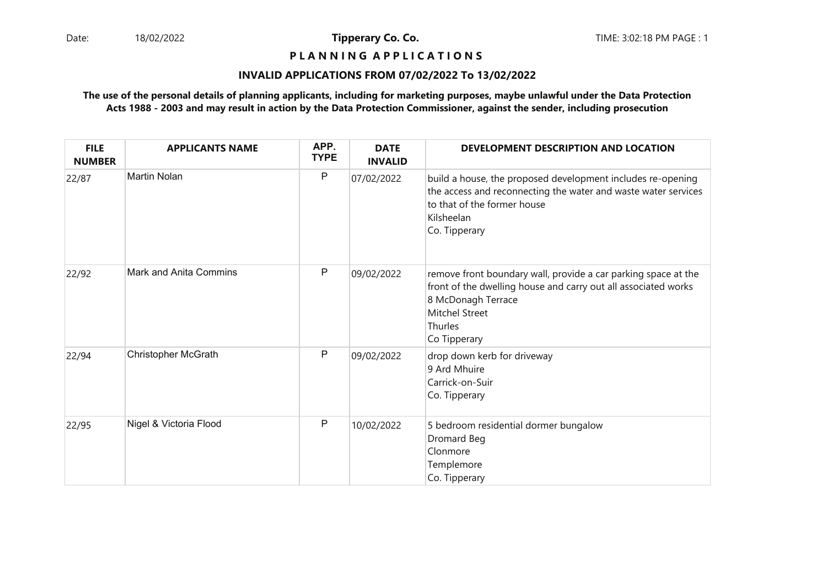#### **P L A N N I N G A P P L I C A T I O N S**

#### **INVALID APPLICATIONS FROM 07/02/2022 To 13/02/2022**

| <b>FILE</b><br><b>NUMBER</b> | <b>APPLICANTS NAME</b>        | APP.<br><b>TYPE</b> | <b>DATE</b><br><b>INVALID</b> | DEVELOPMENT DESCRIPTION AND LOCATION                                                                                                                                                                       |
|------------------------------|-------------------------------|---------------------|-------------------------------|------------------------------------------------------------------------------------------------------------------------------------------------------------------------------------------------------------|
| 22/87                        | <b>Martin Nolan</b>           | P                   | 07/02/2022                    | build a house, the proposed development includes re-opening<br>the access and reconnecting the water and waste water services<br>to that of the former house<br>Kilsheelan<br>Co. Tipperary                |
| 22/92                        | <b>Mark and Anita Commins</b> | P                   | 09/02/2022                    | remove front boundary wall, provide a car parking space at the<br>front of the dwelling house and carry out all associated works<br>8 McDonagh Terrace<br><b>Mitchel Street</b><br>Thurles<br>Co Tipperary |
| 22/94                        | <b>Christopher McGrath</b>    | P                   | 09/02/2022                    | drop down kerb for driveway<br>9 Ard Mhuire<br>Carrick-on-Suir<br>Co. Tipperary                                                                                                                            |
| 22/95                        | Nigel & Victoria Flood        | $\mathsf{P}$        | 10/02/2022                    | 5 bedroom residential dormer bungalow<br>Dromard Beg<br>Clonmore<br>Templemore<br>Co. Tipperary                                                                                                            |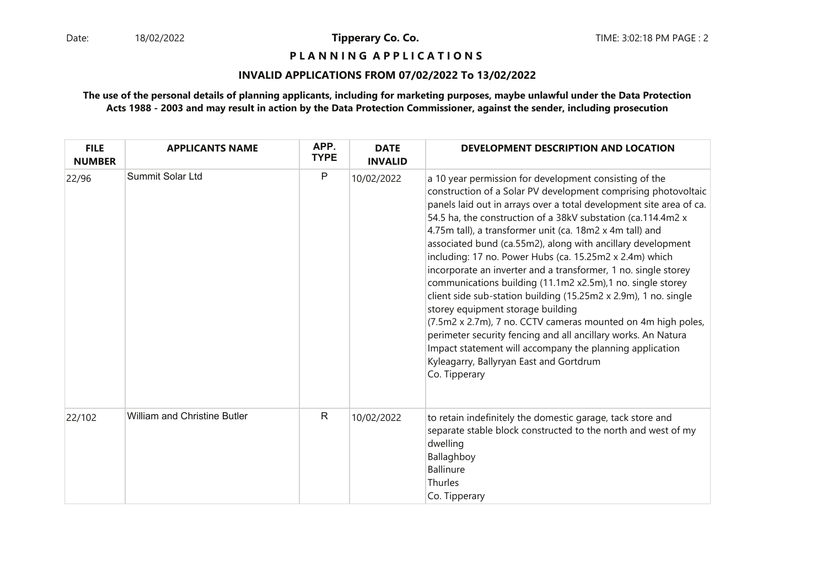**P L A N N I N G A P P L I C A T I O N S** 

#### **INVALID APPLICATIONS FROM 07/02/2022 To 13/02/2022**

| <b>FILE</b><br><b>NUMBER</b> | <b>APPLICANTS NAME</b>              | APP.<br><b>TYPE</b> | <b>DATE</b><br><b>INVALID</b> | DEVELOPMENT DESCRIPTION AND LOCATION                                                                                                                                                                                                                                                                                                                                                                                                                                                                                                                                                                                                                                                                                                                                                                                                                                                                                                                   |
|------------------------------|-------------------------------------|---------------------|-------------------------------|--------------------------------------------------------------------------------------------------------------------------------------------------------------------------------------------------------------------------------------------------------------------------------------------------------------------------------------------------------------------------------------------------------------------------------------------------------------------------------------------------------------------------------------------------------------------------------------------------------------------------------------------------------------------------------------------------------------------------------------------------------------------------------------------------------------------------------------------------------------------------------------------------------------------------------------------------------|
| 22/96                        | Summit Solar Ltd                    | P                   | 10/02/2022                    | a 10 year permission for development consisting of the<br>construction of a Solar PV development comprising photovoltaic<br>panels laid out in arrays over a total development site area of ca.<br>54.5 ha, the construction of a 38kV substation (ca.114.4m2 x<br>4.75m tall), a transformer unit (ca. 18m2 x 4m tall) and<br>associated bund (ca.55m2), along with ancillary development<br>including: 17 no. Power Hubs (ca. 15.25m2 x 2.4m) which<br>incorporate an inverter and a transformer, 1 no. single storey<br>communications building (11.1m2 x2.5m),1 no. single storey<br>client side sub-station building (15.25m2 x 2.9m), 1 no. single<br>storey equipment storage building<br>(7.5m2 x 2.7m), 7 no. CCTV cameras mounted on 4m high poles,<br>perimeter security fencing and all ancillary works. An Natura<br>Impact statement will accompany the planning application<br>Kyleagarry, Ballyryan East and Gortdrum<br>Co. Tipperary |
| 22/102                       | <b>William and Christine Butler</b> | $\mathsf{R}$        | 10/02/2022                    | to retain indefinitely the domestic garage, tack store and<br>separate stable block constructed to the north and west of my<br>dwelling<br>Ballaghboy<br>Ballinure<br>Thurles<br>Co. Tipperary                                                                                                                                                                                                                                                                                                                                                                                                                                                                                                                                                                                                                                                                                                                                                         |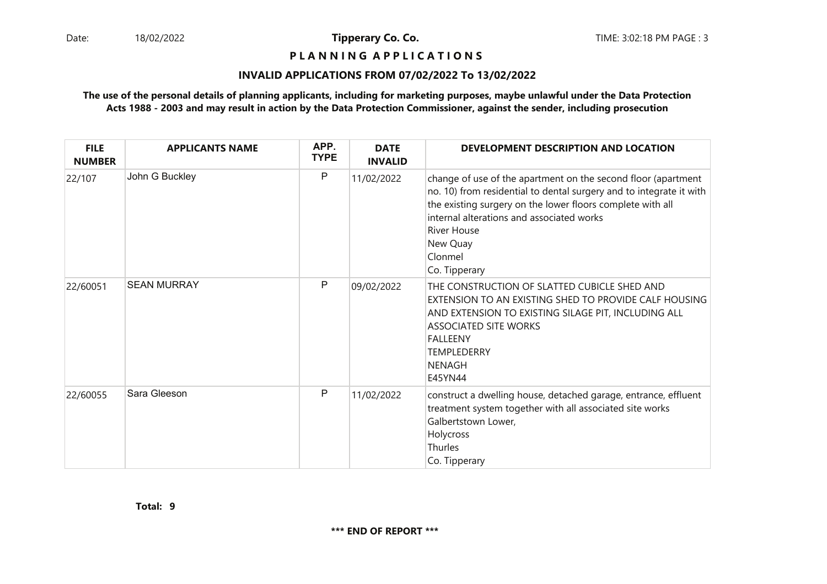**P L A N N I N G A P P L I C A T I O N S** 

#### **INVALID APPLICATIONS FROM 07/02/2022 To 13/02/2022**

| <b>FILE</b><br><b>NUMBER</b> | <b>APPLICANTS NAME</b> | APP.<br><b>TYPE</b> | <b>DATE</b><br><b>INVALID</b> | DEVELOPMENT DESCRIPTION AND LOCATION                                                                                                                                                                                                                                                                          |
|------------------------------|------------------------|---------------------|-------------------------------|---------------------------------------------------------------------------------------------------------------------------------------------------------------------------------------------------------------------------------------------------------------------------------------------------------------|
| 22/107                       | John G Buckley         | P                   | 11/02/2022                    | change of use of the apartment on the second floor (apartment<br>no. 10) from residential to dental surgery and to integrate it with<br>the existing surgery on the lower floors complete with all<br>internal alterations and associated works<br><b>River House</b><br>New Quay<br>Clonmel<br>Co. Tipperary |
| 22/60051                     | <b>SEAN MURRAY</b>     | P                   | 09/02/2022                    | THE CONSTRUCTION OF SLATTED CUBICLE SHED AND<br>EXTENSION TO AN EXISTING SHED TO PROVIDE CALF HOUSING<br>AND EXTENSION TO EXISTING SILAGE PIT, INCLUDING ALL<br><b>ASSOCIATED SITE WORKS</b><br><b>FALLEENY</b><br><b>TEMPLEDERRY</b><br><b>NENAGH</b><br>E45YN44                                             |
| 22/60055                     | Sara Gleeson           | P                   | 11/02/2022                    | construct a dwelling house, detached garage, entrance, effluent<br>treatment system together with all associated site works<br>Galbertstown Lower,<br>Holycross<br>Thurles<br>Co. Tipperary                                                                                                                   |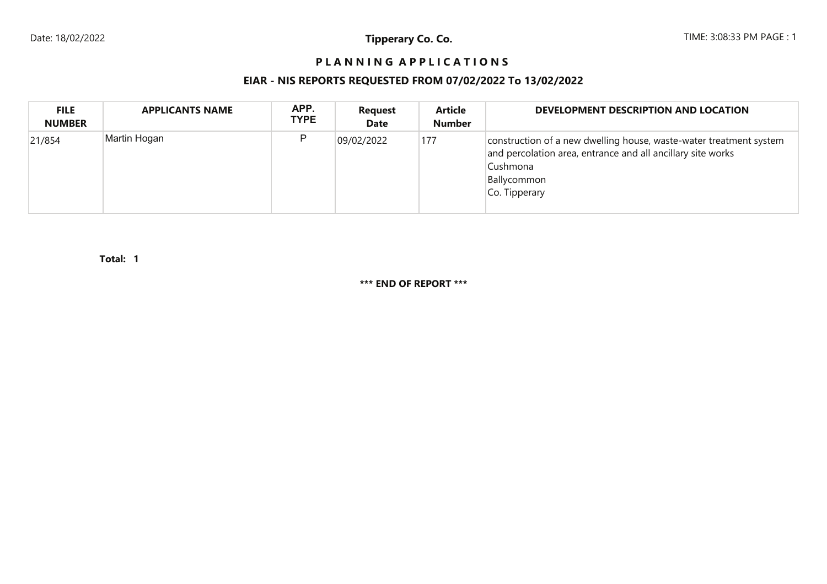# **P L A N N I N G A P P L I C A T I O N S**

# **EIAR - NIS REPORTS REQUESTED FROM 07/02/2022 To 13/02/2022**

| <b>FILE</b><br><b>NUMBER</b> | <b>APPLICANTS NAME</b> | APP.<br><b>TYPE</b> | <b>Request</b><br><b>Date</b> | <b>Article</b><br><b>Number</b> | DEVELOPMENT DESCRIPTION AND LOCATION                                                                                                                                          |
|------------------------------|------------------------|---------------------|-------------------------------|---------------------------------|-------------------------------------------------------------------------------------------------------------------------------------------------------------------------------|
| 21/854                       | Martin Hogan           | P                   | 09/02/2022                    | 177                             | construction of a new dwelling house, waste-water treatment system<br>and percolation area, entrance and all ancillary site works<br>Cushmona<br>Ballycommon<br>Co. Tipperary |

**1Total:** 

**\*\*\* END OF REPORT \*\*\***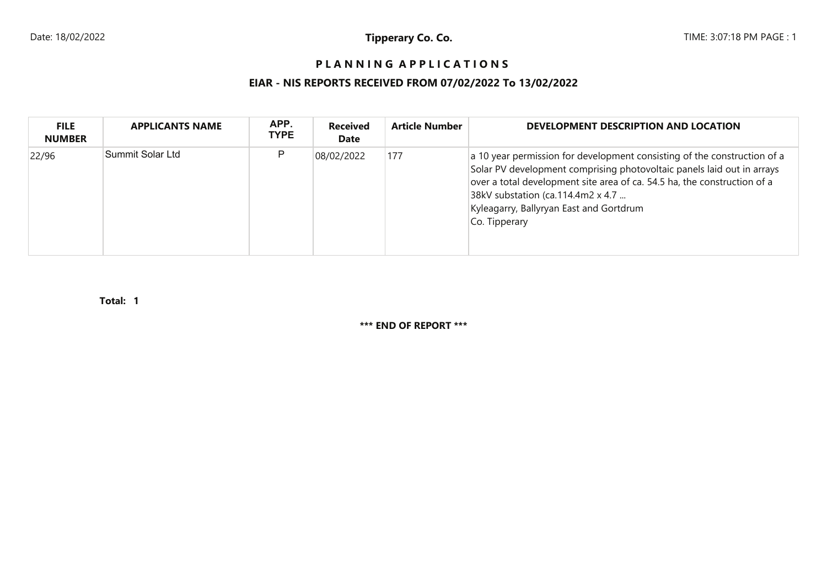# **P L A N N I N G A P P L I C A T I O N S**

# **EIAR - NIS REPORTS RECEIVED FROM 07/02/2022 To 13/02/2022**

| <b>FILE</b><br><b>NUMBER</b> | <b>APPLICANTS NAME</b> | APP.<br><b>TYPE</b> | <b>Received</b><br>Date | <b>Article Number</b> | DEVELOPMENT DESCRIPTION AND LOCATION                                                                                                                                                                                                                                                                                            |
|------------------------------|------------------------|---------------------|-------------------------|-----------------------|---------------------------------------------------------------------------------------------------------------------------------------------------------------------------------------------------------------------------------------------------------------------------------------------------------------------------------|
| 22/96                        | Summit Solar Ltd       | P                   | 08/02/2022              | 177                   | a 10 year permission for development consisting of the construction of a<br>Solar PV development comprising photovoltaic panels laid out in arrays<br>over a total development site area of ca. 54.5 ha, the construction of a<br>38kV substation (ca.114.4m2 x 4.7<br>Kyleagarry, Ballyryan East and Gortdrum<br>Co. Tipperary |

**1Total:** 

**\*\*\* END OF REPORT \*\*\***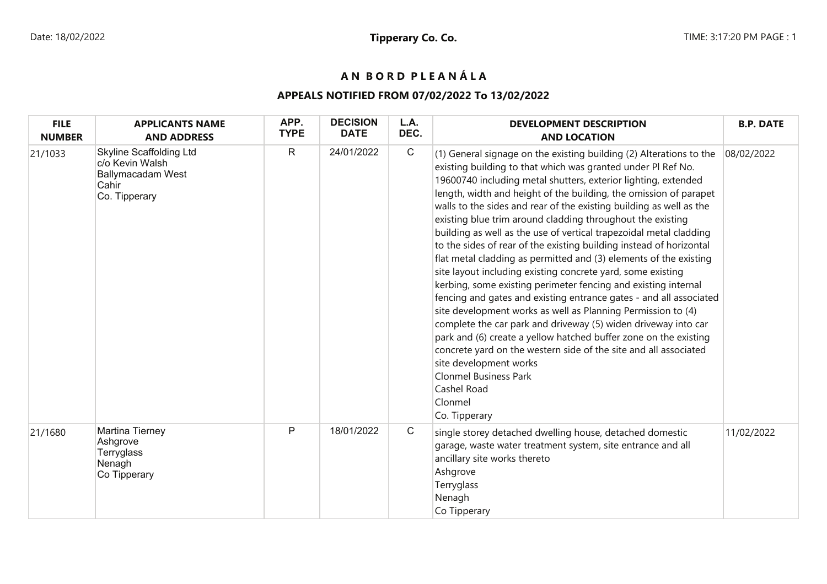# **A N B O R D P L E A N Á L A**

# **APPEALS NOTIFIED FROM 07/02/2022 To 13/02/2022**

| <b>FILE</b><br><b>NUMBER</b> | <b>APPLICANTS NAME</b><br><b>AND ADDRESS</b>                                                     | APP.<br><b>TYPE</b> | <b>DECISION</b><br><b>DATE</b> | L.A.<br>DEC. | <b>DEVELOPMENT DESCRIPTION</b><br><b>AND LOCATION</b>                                                                                                                                                                                                                                                                                                                                                                                                                                                                                                                                                                                                                                                                                                                                                                                                                                                                                                                                                                                                                                                                                                                                                                   | <b>B.P. DATE</b> |
|------------------------------|--------------------------------------------------------------------------------------------------|---------------------|--------------------------------|--------------|-------------------------------------------------------------------------------------------------------------------------------------------------------------------------------------------------------------------------------------------------------------------------------------------------------------------------------------------------------------------------------------------------------------------------------------------------------------------------------------------------------------------------------------------------------------------------------------------------------------------------------------------------------------------------------------------------------------------------------------------------------------------------------------------------------------------------------------------------------------------------------------------------------------------------------------------------------------------------------------------------------------------------------------------------------------------------------------------------------------------------------------------------------------------------------------------------------------------------|------------------|
| 21/1033                      | <b>Skyline Scaffolding Ltd</b><br>c/o Kevin Walsh<br>Ballymacadam West<br>Cahir<br>Co. Tipperary | $\mathsf{R}$        | 24/01/2022                     | $\mathsf{C}$ | (1) General signage on the existing building (2) Alterations to the<br>existing building to that which was granted under PI Ref No.<br>19600740 including metal shutters, exterior lighting, extended<br>length, width and height of the building, the omission of parapet<br>walls to the sides and rear of the existing building as well as the<br>existing blue trim around cladding throughout the existing<br>building as well as the use of vertical trapezoidal metal cladding<br>to the sides of rear of the existing building instead of horizontal<br>flat metal cladding as permitted and (3) elements of the existing<br>site layout including existing concrete yard, some existing<br>kerbing, some existing perimeter fencing and existing internal<br>fencing and gates and existing entrance gates - and all associated<br>site development works as well as Planning Permission to (4)<br>complete the car park and driveway (5) widen driveway into car<br>park and (6) create a yellow hatched buffer zone on the existing<br>concrete yard on the western side of the site and all associated<br>site development works<br><b>Clonmel Business Park</b><br>Cashel Road<br>Clonmel<br>Co. Tipperary | 08/02/2022       |
| 21/1680                      | Martina Tierney<br>Ashgrove<br>Terryglass<br>Nenagh<br>Co Tipperary                              | P                   | 18/01/2022                     | $\mathsf{C}$ | single storey detached dwelling house, detached domestic<br>garage, waste water treatment system, site entrance and all<br>ancillary site works thereto<br>Ashgrove<br>Terryglass<br>Nenagh<br>Co Tipperary                                                                                                                                                                                                                                                                                                                                                                                                                                                                                                                                                                                                                                                                                                                                                                                                                                                                                                                                                                                                             | 11/02/2022       |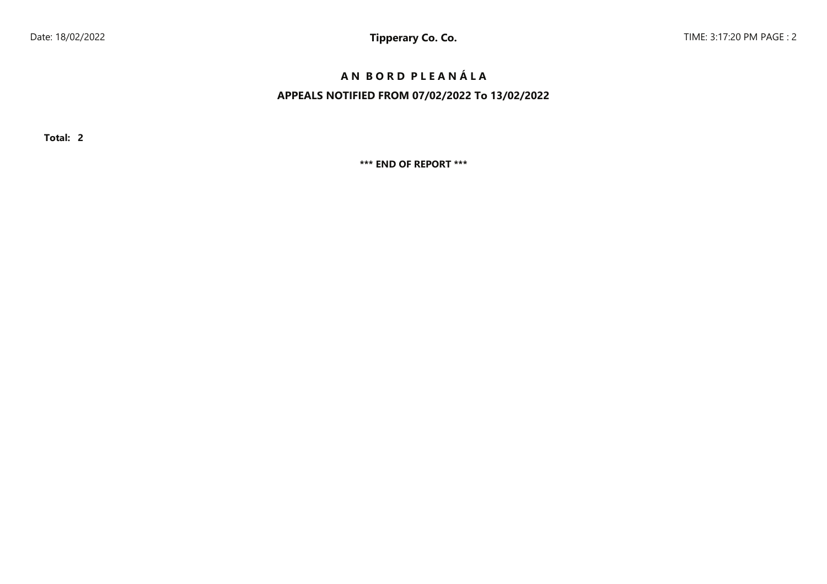# **A N B O R D P L E A N Á L A**

# **APPEALS NOTIFIED FROM 07/02/2022 To 13/02/2022**

**Total: 2**

**\*\*\* END OF REPORT \*\*\***